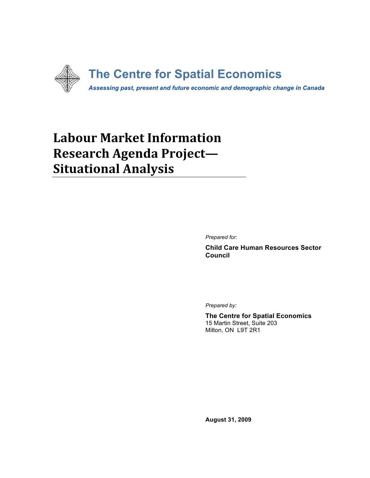

# **Labour
Market
Information Research
Agenda
Project— Situational
Analysis**

*Prepared for:*

**Child Care Human Resources Sector Council**

*Prepared by:*

**The Centre for Spatial Economics** 15 Martin Street, Suite 203 Milton, ON L9T 2R1

**August 31, 2009**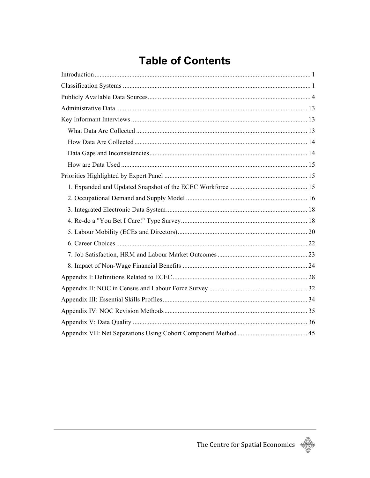# **Table of Contents**

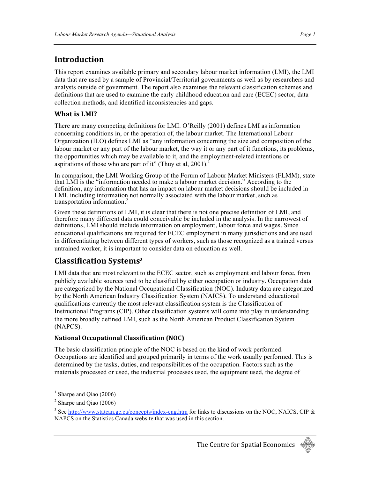### **Introduction**

This report examines available primary and secondary labour market information (LMI), the LMI data that are used by a sample of Provincial/Territorial governments as well as by researchers and analysts outside of government. The report also examines the relevant classification schemes and definitions that are used to examine the early childhood education and care (ECEC) sector, data collection methods, and identified inconsistencies and gaps.

#### **What
is
LMI?**

There are many competing definitions for LMI. O'Reilly (2001) defines LMI as information concerning conditions in, or the operation of, the labour market. The International Labour Organization (ILO) defines LMI as "any information concerning the size and composition of the labour market or any part of the labour market, the way it or any part of it functions, its problems, the opportunities which may be available to it, and the employment-related intentions or aspirations of those who are part of it" (Thuy et al,  $2001$ ).<sup>1</sup>

In comparison, the LMI Working Group of the Forum of Labour Market Ministers (FLMM), state that LMI is the "information needed to make a labour market decision." According to the definition, any information that has an impact on labour market decisions should be included in LMI, including information not normally associated with the labour market, such as transportation information.<sup>2</sup>

Given these definitions of LMI, it is clear that there is not one precise definition of LMI, and therefore many different data could conceivable be included in the analysis. In the narrowest of definitions, LMI should include information on employment, labour force and wages. Since educational qualifications are required for ECEC employment in many jurisdictions and are used in differentiating between different types of workers, such as those recognized as a trained versus untrained worker, it is important to consider data on education as well.

### **Classification
Systems<sup>3</sup>**

LMI data that are most relevant to the ECEC sector, such as employment and labour force, from publicly available sources tend to be classified by either occupation or industry. Occupation data are categorized by the National Occupational Classification (NOC). Industry data are categorized by the North American Industry Classification System (NAICS). To understand educational qualifications currently the most relevant classification system is the Classification of Instructional Programs (CIP). Other classification systems will come into play in understanding the more broadly defined LMI, such as the North American Product Classification System (NAPCS).

#### **National
Occupational
Classification
(NOC)**

The basic classification principle of the NOC is based on the kind of work performed. Occupations are identified and grouped primarily in terms of the work usually performed. This is determined by the tasks, duties, and responsibilities of the occupation. Factors such as the materials processed or used, the industrial processes used, the equipment used, the degree of



<sup>&</sup>lt;sup>1</sup> Sharpe and Qiao (2006)

 $2$  Sharpe and Qiao (2006)

<sup>&</sup>lt;sup>3</sup> See http://www.statcan.gc.ca/concepts/index-eng.htm for links to discussions on the NOC, NAICS, CIP & NAPCS on the Statistics Canada website that was used in this section.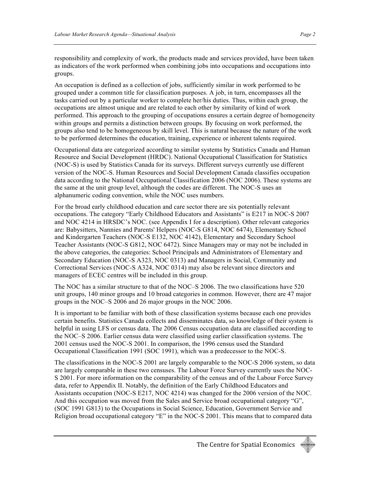responsibility and complexity of work, the products made and services provided, have been taken as indicators of the work performed when combining jobs into occupations and occupations into groups.

An occupation is defined as a collection of jobs, sufficiently similar in work performed to be grouped under a common title for classification purposes. A job, in turn, encompasses all the tasks carried out by a particular worker to complete her/his duties. Thus, within each group, the occupations are almost unique and are related to each other by similarity of kind of work performed. This approach to the grouping of occupations ensures a certain degree of homogeneity within groups and permits a distinction between groups. By focusing on work performed, the groups also tend to be homogeneous by skill level. This is natural because the nature of the work to be performed determines the education, training, experience or inherent talents required.

Occupational data are categorized according to similar systems by Statistics Canada and Human Resource and Social Development (HRDC). National Occupational Classification for Statistics (NOC-S) is used by Statistics Canada for its surveys. Different surveys currently use different version of the NOC-S. Human Resources and Social Development Canada classifies occupation data according to the National Occupational Classification 2006 (NOC 2006). These systems are the same at the unit group level, although the codes are different. The NOC-S uses an alphanumeric coding convention, while the NOC uses numbers.

For the broad early childhood education and care sector there are six potentially relevant occupations. The category "Early Childhood Educators and Assistants" is E217 in NOC-S 2007 and NOC 4214 in HRSDC's NOC. (see Appendix I for a description). Other relevant categories are: Babysitters, Nannies and Parents' Helpers (NOC-S G814, NOC 6474), Elementary School and Kindergarten Teachers (NOC-S E132, NOC 4142), Elementary and Secondary School Teacher Assistants (NOC-S G812, NOC 6472). Since Managers may or may not be included in the above categories, the categories: School Principals and Administrators of Elementary and Secondary Education (NOC-S A323, NOC 0313) and Managers in Social, Community and Correctional Services (NOC-S A324, NOC 0314) may also be relevant since directors and managers of ECEC centres will be included in this group.

The NOC has a similar structure to that of the NOC–S 2006. The two classifications have 520 unit groups, 140 minor groups and 10 broad categories in common. However, there are 47 major groups in the NOC–S 2006 and 26 major groups in the NOC 2006.

It is important to be familiar with both of these classification systems because each one provides certain benefits. Statistics Canada collects and disseminates data, so knowledge of their system is helpful in using LFS or census data. The 2006 Census occupation data are classified according to the NOC–S 2006. Earlier census data were classified using earlier classification systems. The 2001 census used the NOC-S 2001. In comparison, the 1996 census used the Standard Occupational Classification 1991 (SOC 1991), which was a predecessor to the NOC-S.

The classifications in the NOC-S 2001 are largely comparable to the NOC-S 2006 system, so data are largely comparable in these two censuses. The Labour Force Survey currently uses the NOC-S 2001. For more information on the comparability of the census and of the Labour Force Survey data, refer to Appendix II. Notably, the definition of the Early Childhood Educators and Assistants occupation (NOC-S E217, NOC 4214) was changed for the 2006 version of the NOC. And this occupation was moved from the Sales and Service broad occupational category "G", (SOC 1991 G813) to the Occupations in Social Science, Education, Government Service and Religion broad occupational category "E" in the NOC-S 2001. This means that to compared data

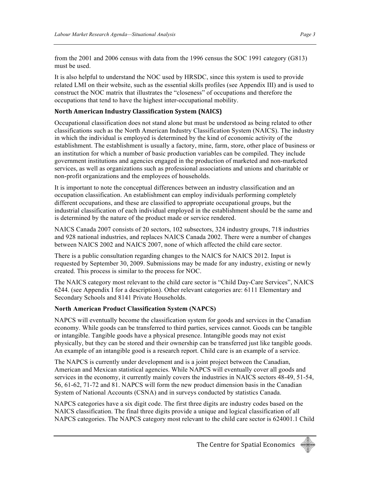from the 2001 and 2006 census with data from the 1996 census the SOC 1991 category (G813) must be used.

It is also helpful to understand the NOC used by HRSDC, since this system is used to provide related LMI on their website, such as the essential skills profiles (see Appendix III) and is used to construct the NOC matrix that illustrates the "closeness" of occupations and therefore the occupations that tend to have the highest inter-occupational mobility.

#### **North
American
Industry
Classification
System
(NAICS)**

Occupational classification does not stand alone but must be understood as being related to other classifications such as the North American Industry Classification System (NAICS). The industry in which the individual is employed is determined by the kind of economic activity of the establishment. The establishment is usually a factory, mine, farm, store, other place of business or an institution for which a number of basic production variables can be compiled. They include government institutions and agencies engaged in the production of marketed and non-marketed services, as well as organizations such as professional associations and unions and charitable or non-profit organizations and the employees of households.

It is important to note the conceptual differences between an industry classification and an occupation classification. An establishment can employ individuals performing completely different occupations, and these are classified to appropriate occupational groups, but the industrial classification of each individual employed in the establishment should be the same and is determined by the nature of the product made or service rendered.

NAICS Canada 2007 consists of 20 sectors, 102 subsectors, 324 industry groups, 718 industries and 928 national industries, and replaces NAICS Canada 2002. There were a number of changes between NAICS 2002 and NAICS 2007, none of which affected the child care sector.

There is a public consultation regarding changes to the NAICS for NAICS 2012. Input is requested by September 30, 2009. Submissions may be made for any industry, existing or newly created. This process is similar to the process for NOC.

The NAICS category most relevant to the child care sector is "Child Day-Care Services", NAICS 6244. (see Appendix I for a description). Other relevant categories are: 6111 Elementary and Secondary Schools and 8141 Private Households.

#### **North American Product Classification System (NAPCS)**

NAPCS will eventually become the classification system for goods and services in the Canadian economy. While goods can be transferred to third parties, services cannot. Goods can be tangible or intangible. Tangible goods have a physical presence. Intangible goods may not exist physically, but they can be stored and their ownership can be transferred just like tangible goods. An example of an intangible good is a research report. Child care is an example of a service.

The NAPCS is currently under development and is a joint project between the Canadian, American and Mexican statistical agencies. While NAPCS will eventually cover all goods and services in the economy, it currently mainly covers the industries in NAICS sectors 48-49, 51-54, 56, 61-62, 71-72 and 81. NAPCS will form the new product dimension basis in the Canadian System of National Accounts (CSNA) and in surveys conducted by statistics Canada.

NAPCS categories have a six digit code. The first three digits are industry codes based on the NAICS classification. The final three digits provide a unique and logical classification of all NAPCS categories. The NAPCS category most relevant to the child care sector is 624001.1 Child

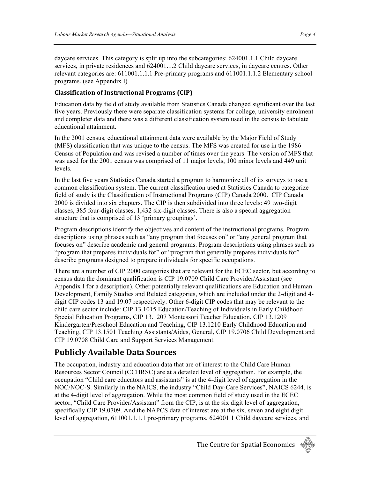daycare services. This category is split up into the subcategories: 624001.1.1 Child daycare services, in private residences and 624001.1.2 Child daycare services, in daycare centres. Other relevant categories are: 611001.1.1.1 Pre-primary programs and 611001.1.1.2 Elementary school programs. (see Appendix I)

#### **Classification
of
Instructional
Programs
(CIP)**

Education data by field of study available from Statistics Canada changed significant over the last five years. Previously there were separate classification systems for college, university enrolment and completer data and there was a different classification system used in the census to tabulate educational attainment.

In the 2001 census, educational attainment data were available by the Major Field of Study (MFS) classification that was unique to the census. The MFS was created for use in the 1986 Census of Population and was revised a number of times over the years. The version of MFS that was used for the 2001 census was comprised of 11 major levels, 100 minor levels and 449 unit levels.

In the last five years Statistics Canada started a program to harmonize all of its surveys to use a common classification system. The current classification used at Statistics Canada to categorize field of study is the Classification of Instructional Programs (CIP) Canada 2000. CIP Canada 2000 is divided into six chapters. The CIP is then subdivided into three levels: 49 two-digit classes, 385 four-digit classes, 1,432 six-digit classes. There is also a special aggregation structure that is comprised of 13 'primary groupings'.

Program descriptions identify the objectives and content of the instructional programs. Program descriptions using phrases such as "any program that focuses on" or "any general program that focuses on" describe academic and general programs. Program descriptions using phrases such as "program that prepares individuals for" or "program that generally prepares individuals for" describe programs designed to prepare individuals for specific occupations.

There are a number of CIP 2000 categories that are relevant for the ECEC sector, but according to census data the dominant qualification is CIP 19.0709 Child Care Provider/Assistant (see Appendix I for a description). Other potentially relevant qualifications are Education and Human Development, Family Studies and Related categories, which are included under the 2-digit and 4 digit CIP codes 13 and 19.07 respectively. Other 6-digit CIP codes that may be relevant to the child care sector include: CIP 13.1015 Education/Teaching of Individuals in Early Childhood Special Education Programs, CIP 13.1207 Montessori Teacher Education, CIP 13.1209 Kindergarten/Preschool Education and Teaching, CIP 13.1210 Early Childhood Education and Teaching, CIP 13.1501 Teaching Assistants/Aides, General, CIP 19.0706 Child Development and CIP 19.0708 Child Care and Support Services Management.

### **Publicly
Available
Data
Sources**

The occupation, industry and education data that are of interest to the Child Care Human Resources Sector Council (CCHRSC) are at a detailed level of aggregation. For example, the occupation "Child care educators and assistants" is at the 4-digit level of aggregation in the NOC/NOC-S. Similarly in the NAICS, the industry "Child Day-Care Services", NAICS 6244, is at the 4-digit level of aggregation. While the most common field of study used in the ECEC sector, "Child Care Provider/Assistant" from the CIP, is at the six digit level of aggregation, specifically CIP 19.0709. And the NAPCS data of interest are at the six, seven and eight digit level of aggregation, 611001.1.1.1 pre-primary programs, 624001.1 Child daycare services, and

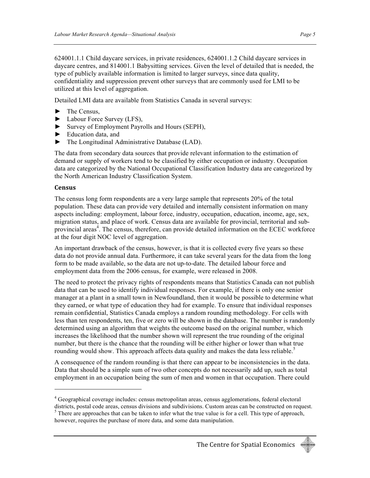624001.1.1 Child daycare services, in private residences, 624001.1.2 Child daycare services in daycare centres, and 814001.1 Babysitting services. Given the level of detailed that is needed, the type of publicly available information is limited to larger surveys, since data quality, confidentiality and suppression prevent other surveys that are commonly used for LMI to be utilized at this level of aggregation.

Detailed LMI data are available from Statistics Canada in several surveys:

- ► The Census,
- ► Labour Force Survey (LFS),
- ► Survey of Employment Payrolls and Hours (SEPH),
- ► Education data, and
- ► The Longitudinal Administrative Database (LAD).

The data from secondary data sources that provide relevant information to the estimation of demand or supply of workers tend to be classified by either occupation or industry. Occupation data are categorized by the National Occupational Classification Industry data are categorized by the North American Industry Classification System.

#### **Census**

<u>.</u>

The census long form respondents are a very large sample that represents 20% of the total population. These data can provide very detailed and internally consistent information on many aspects including: employment, labour force, industry, occupation, education, income, age, sex, migration status, and place of work. Census data are available for provincial, territorial and subprovincial areas<sup>4</sup>. The census, therefore, can provide detailed information on the ECEC workforce at the four digit NOC level of aggregation.

An important drawback of the census, however, is that it is collected every five years so these data do not provide annual data. Furthermore, it can take several years for the data from the long form to be made available, so the data are not up-to-date. The detailed labour force and employment data from the 2006 census, for example, were released in 2008.

The need to protect the privacy rights of respondents means that Statistics Canada can not publish data that can be used to identify individual responses. For example, if there is only one senior manager at a plant in a small town in Newfoundland, then it would be possible to determine what they earned, or what type of education they had for example. To ensure that individual responses remain confidential, Statistics Canada employs a random rounding methodology. For cells with less than ten respondents, ten, five or zero will be shown in the database. The number is randomly determined using an algorithm that weights the outcome based on the original number, which increases the likelihood that the number shown will represent the true rounding of the original number, but there is the chance that the rounding will be either higher or lower than what true rounding would show. This approach affects data quality and makes the data less reliable.<sup>5</sup>

A consequence of the random rounding is that there can appear to be inconsistencies in the data. Data that should be a simple sum of two other concepts do not necessarily add up, such as total employment in an occupation being the sum of men and women in that occupation. There could

<sup>&</sup>lt;sup>4</sup> Geographical coverage includes: census metropolitan areas, census agglomerations, federal electoral

districts, postal code areas, census divisions and subdivisions. Custom areas can be constructed on request.  $<sup>5</sup>$  There are approaches that can be taken to infer what the true value is for a cell. This type of approach,</sup> however, requires the purchase of more data, and some data manipulation.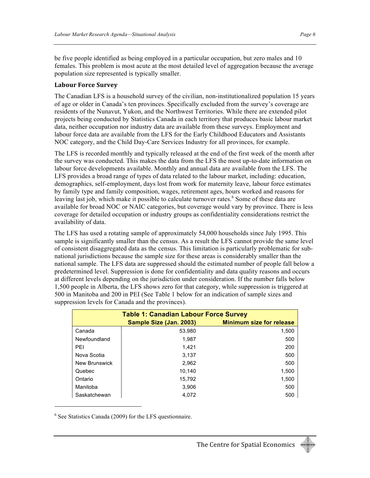be five people identified as being employed in a particular occupation, but zero males and 10 females. This problem is most acute at the most detailed level of aggregation because the average population size represented is typically smaller.

#### **Labour
Force
Survey**

The Canadian LFS is a household survey of the civilian, non-institutionalized population 15 years of age or older in Canada's ten provinces. Specifically excluded from the survey's coverage are residents of the Nunavut, Yukon, and the Northwest Territories. While there are extended pilot projects being conducted by Statistics Canada in each territory that produces basic labour market data, neither occupation nor industry data are available from these surveys. Employment and labour force data are available from the LFS for the Early Childhood Educators and Assistants NOC category, and the Child Day-Care Services Industry for all provinces, for example.

The LFS is recorded monthly and typically released at the end of the first week of the month after the survey was conducted. This makes the data from the LFS the most up-to-date information on labour force developments available. Monthly and annual data are available from the LFS. The LFS provides a broad range of types of data related to the labour market, including: education, demographics, self-employment, days lost from work for maternity leave, labour force estimates by family type and family composition, wages, retirement ages, hours worked and reasons for leaving last job, which make it possible to calculate turnover rates.<sup>6</sup> Some of these data are available for broad NOC or NAIC categories, but coverage would vary by province. There is less coverage for detailed occupation or industry groups as confidentiality considerations restrict the availability of data.

The LFS has used a rotating sample of approximately 54,000 households since July 1995. This sample is significantly smaller than the census. As a result the LFS cannot provide the same level of consistent disaggregated data as the census. This limitation is particularly problematic for subnational jurisdictions because the sample size for these areas is considerably smaller than the national sample. The LFS data are suppressed should the estimated number of people fall below a predetermined level. Suppression is done for confidentiality and data quality reasons and occurs at different levels depending on the jurisdiction under consideration. If the number falls below 1,500 people in Alberta, the LFS shows zero for that category, while suppression is triggered at 500 in Manitoba and 200 in PEI (See Table 1 below for an indication of sample sizes and suppression levels for Canada and the provinces).

| <b>Table 1: Canadian Labour Force Survey</b> |                         |                                 |  |  |  |
|----------------------------------------------|-------------------------|---------------------------------|--|--|--|
|                                              | Sample Size (Jan. 2003) | <b>Minimum size for release</b> |  |  |  |
| Canada                                       | 53,980                  | 1,500                           |  |  |  |
| Newfoundland                                 | 1.987                   | 500                             |  |  |  |
| PEI                                          | 1.421                   | 200                             |  |  |  |
| Nova Scotia                                  | 3.137                   | 500                             |  |  |  |
| New Brunswick                                | 2.962                   | 500                             |  |  |  |
| Quebec                                       | 10.140                  | 1,500                           |  |  |  |
| Ontario                                      | 15.792                  | 1,500                           |  |  |  |
| Manitoba                                     | 3.906                   | 500                             |  |  |  |
| Saskatchewan                                 | 4.072                   | 500                             |  |  |  |

<sup>6</sup> See Statistics Canada (2009) for the LFS questionnaire.

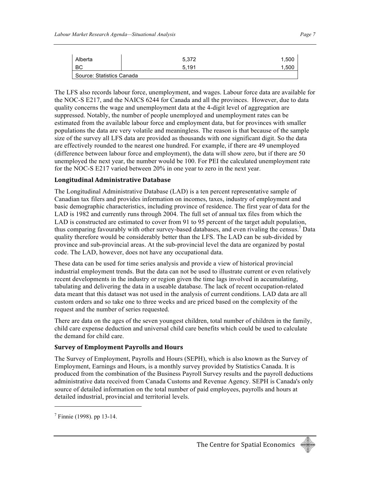| Alberta                   | 5,372 | 1,500 |  |  |  |
|---------------------------|-------|-------|--|--|--|
| BC                        | 5.191 | 1,500 |  |  |  |
| Source: Statistics Canada |       |       |  |  |  |

The LFS also records labour force, unemployment, and wages. Labour force data are available for the NOC-S E217, and the NAICS 6244 for Canada and all the provinces. However, due to data quality concerns the wage and unemployment data at the 4-digit level of aggregation are suppressed. Notably, the number of people unemployed and unemployment rates can be estimated from the available labour force and employment data, but for provinces with smaller populations the data are very volatile and meaningless. The reason is that because of the sample size of the survey all LFS data are provided as thousands with one significant digit. So the data are effectively rounded to the nearest one hundred. For example, if there are 49 unemployed (difference between labour force and employment), the data will show zero, but if there are 50 unemployed the next year, the number would be 100. For PEI the calculated unemployment rate for the NOC-S E217 varied between 20% in one year to zero in the next year.

#### **Longitudinal
Administrative
Database**

The Longitudinal Administrative Database (LAD) is a ten percent representative sample of Canadian tax filers and provides information on incomes, taxes, industry of employment and basic demographic characteristics, including province of residence. The first year of data for the LAD is 1982 and currently runs through 2004. The full set of annual tax files from which the LAD is constructed are estimated to cover from 91 to 95 percent of the target adult population, thus comparing favourably with other survey-based databases, and even rivaling the census.7 Data quality therefore would be considerably better than the LFS. The LAD can be sub-divided by province and sub-provincial areas. At the sub-provincial level the data are organized by postal code. The LAD, however, does not have any occupational data.

These data can be used for time series analysis and provide a view of historical provincial industrial employment trends. But the data can not be used to illustrate current or even relatively recent developments in the industry or region given the time lags involved in accumulating, tabulating and delivering the data in a useable database. The lack of recent occupation-related data meant that this dataset was not used in the analysis of current conditions. LAD data are all custom orders and so take one to three weeks and are priced based on the complexity of the request and the number of series requested.

There are data on the ages of the seven youngest children, total number of children in the family, child care expense deduction and universal child care benefits which could be used to calculate the demand for child care.

#### **Survey
of
Employment
Payrolls
and
Hours**

The Survey of Employment, Payrolls and Hours (SEPH), which is also known as the Survey of Employment, Earnings and Hours, is a monthly survey provided by Statistics Canada. It is produced from the combination of the Business Payroll Survey results and the payroll deductions administrative data received from Canada Customs and Revenue Agency. SEPH is Canada's only source of detailed information on the total number of paid employees, payrolls and hours at detailed industrial, provincial and territorial levels.



<sup>&</sup>lt;sup>7</sup> Finnie (1998). pp 13-14.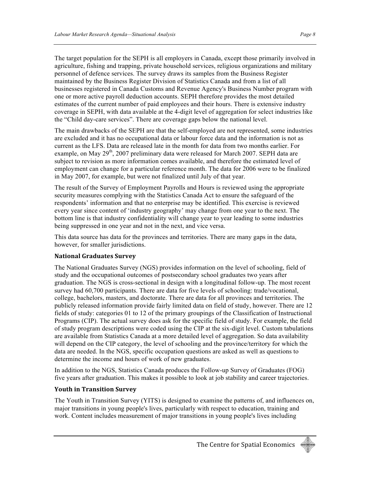The target population for the SEPH is all employers in Canada, except those primarily involved in agriculture, fishing and trapping, private household services, religious organizations and military personnel of defence services. The survey draws its samples from the Business Register maintained by the Business Register Division of Statistics Canada and from a list of all businesses registered in Canada Customs and Revenue Agency's Business Number program with

one or more active payroll deduction accounts. SEPH therefore provides the most detailed estimates of the current number of paid employees and their hours. There is extensive industry coverage in SEPH, with data available at the 4-digit level of aggregation for select industries like the "Child day-care services". There are coverage gaps below the national level.

The main drawbacks of the SEPH are that the self-employed are not represented, some industries are excluded and it has no occupational data or labour force data and the information is not as current as the LFS. Data are released late in the month for data from two months earlier. For example, on May 29<sup>th</sup>, 2007 preliminary data were released for March 2007. SEPH data are subject to revision as more information comes available, and therefore the estimated level of employment can change for a particular reference month. The data for 2006 were to be finalized in May 2007, for example, but were not finalized until July of that year.

The result of the Survey of Employment Payrolls and Hours is reviewed using the appropriate security measures complying with the Statistics Canada Act to ensure the safeguard of the respondents' information and that no enterprise may be identified. This exercise is reviewed every year since content of 'industry geography' may change from one year to the next. The bottom line is that industry confidentiality will change year to year leading to some industries being suppressed in one year and not in the next, and vice versa.

This data source has data for the provinces and territories. There are many gaps in the data, however, for smaller jurisdictions.

#### **National
Graduates
Survey**

The National Graduates Survey (NGS) provides information on the level of schooling, field of study and the occupational outcomes of postsecondary school graduates two years after graduation. The NGS is cross-sectional in design with a longitudinal follow-up. The most recent survey had 60,700 participants. There are data for five levels of schooling: trade/vocational, college, bachelors, masters, and doctorate. There are data for all provinces and territories. The publicly released information provide fairly limited data on field of study, however. There are 12 fields of study: categories 01 to 12 of the primary groupings of the Classification of Instructional Programs (CIP). The actual survey does ask for the specific field of study. For example, the field of study program descriptions were coded using the CIP at the six-digit level. Custom tabulations are available from Statistics Canada at a more detailed level of aggregation. So data availability will depend on the CIP category, the level of schooling and the province/territory for which the data are needed. In the NGS, specific occupation questions are asked as well as questions to determine the income and hours of work of new graduates.

In addition to the NGS, Statistics Canada produces the Follow-up Survey of Graduates (FOG) five years after graduation. This makes it possible to look at job stability and career trajectories.

#### **Youth
in
Transition
Survey**

The Youth in Transition Survey (YITS) is designed to examine the patterns of, and influences on, major transitions in young people's lives, particularly with respect to education, training and work. Content includes measurement of major transitions in young people's lives including

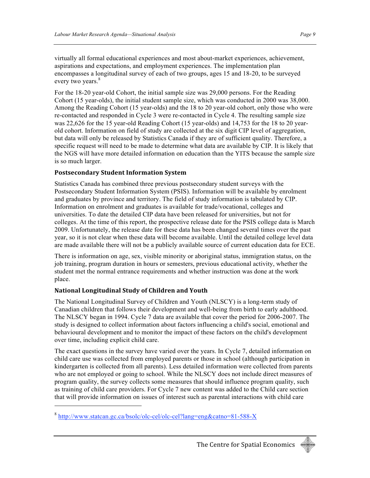virtually all formal educational experiences and most about-market experiences, achievement, aspirations and expectations, and employment experiences. The implementation plan encompasses a longitudinal survey of each of two groups, ages 15 and 18-20, to be surveyed every two years.<sup>8</sup>

For the 18-20 year-old Cohort, the initial sample size was 29,000 persons. For the Reading Cohort (15 year-olds), the initial student sample size, which was conducted in 2000 was 38,000. Among the Reading Cohort (15 year-olds) and the 18 to 20 year-old cohort, only those who were re-contacted and responded in Cycle 3 were re-contacted in Cycle 4. The resulting sample size was 22,626 for the 15 year-old Reading Cohort (15 year-olds) and 14,753 for the 18 to 20 yearold cohort. Information on field of study are collected at the six digit CIP level of aggregation, but data will only be released by Statistics Canada if they are of sufficient quality. Therefore, a specific request will need to be made to determine what data are available by CIP. It is likely that the NGS will have more detailed information on education than the YITS because the sample size is so much larger.

#### **Postsecondary
Student
Information
System**

Statistics Canada has combined three previous postsecondary student surveys with the Postsecondary Student Information System (PSIS). Information will be available by enrolment and graduates by province and territory. The field of study information is tabulated by CIP. Information on enrolment and graduates is available for trade/vocational, colleges and universities. To date the detailed CIP data have been released for universities, but not for colleges. At the time of this report, the prospective release date for the PSIS college data is March 2009. Unfortunately, the release date for these data has been changed several times over the past year, so it is not clear when these data will become available. Until the detailed college level data are made available there will not be a publicly available source of current education data for ECE.

There is information on age, sex, visible minority or aboriginal status, immigration status, on the job training, program duration in hours or semesters, previous educational activity, whether the student met the normal entrance requirements and whether instruction was done at the work place.

#### **National
Longitudinal
Study
of
Children
and
Youth**

<u>.</u>

The National Longitudinal Survey of Children and Youth (NLSCY) is a long-term study of Canadian children that follows their development and well-being from birth to early adulthood. The NLSCY began in 1994. Cycle 7 data are available that cover the period for 2006-2007. The study is designed to collect information about factors influencing a child's social, emotional and behavioural development and to monitor the impact of these factors on the child's development over time, including explicit child care.

The exact questions in the survey have varied over the years. In Cycle 7, detailed information on child care use was collected from employed parents or those in school (although participation in kindergarten is collected from all parents). Less detailed information were collected from parents who are not employed or going to school. While the NLSCY does not include direct measures of program quality, the survey collects some measures that should influence program quality, such as training of child care providers. For Cycle 7 new content was added to the Child care section that will provide information on issues of interest such as parental interactions with child care



<sup>8</sup> http://www.statcan.gc.ca/bsolc/olc-cel/olc-cel?lang=eng&catno=81-588-X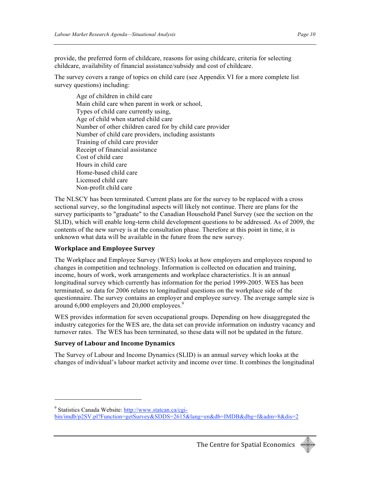provide, the preferred form of childcare, reasons for using childcare, criteria for selecting childcare, availability of financial assistance/subsidy and cost of childcare.

The survey covers a range of topics on child care (see Appendix VI for a more complete list survey questions) including:

Age of children in child care Main child care when parent in work or school, Types of child care currently using, Age of child when started child care Number of other children cared for by child care provider Number of child care providers, including assistants Training of child care provider Receipt of financial assistance Cost of child care Hours in child care Home-based child care Licensed child care Non-profit child care

The NLSCY has been terminated. Current plans are for the survey to be replaced with a cross sectional survey, so the longitudinal aspects will likely not continue. There are plans for the survey participants to "graduate" to the Canadian Household Panel Survey (see the section on the SLID), which will enable long-term child development questions to be addressed. As of 2009, the contents of the new survey is at the consultation phase. Therefore at this point in time, it is unknown what data will be available in the future from the new survey.

#### **Workplace
and
Employee
Survey**

The Workplace and Employee Survey (WES) looks at how employers and employees respond to changes in competition and technology. Information is collected on education and training, income, hours of work, work arrangements and workplace characteristics. It is an annual longitudinal survey which currently has information for the period 1999-2005. WES has been terminated, so data for 2006 relates to longitudinal questions on the workplace side of the questionnaire. The survey contains an employer and employee survey. The average sample size is around 6,000 employers and 20,000 employees.<sup>9</sup>

WES provides information for seven occupational groups. Depending on how disaggregated the industry categories for the WES are, the data set can provide information on industry vacancy and turnover rates. The WES has been terminated, so these data will not be updated in the future.

#### **Survey
of
Labour
and
Income
Dynamics**

The Survey of Labour and Income Dynamics (SLID) is an annual survey which looks at the changes of individual's labour market activity and income over time. It combines the longitudinal

<sup>&</sup>lt;sup>9</sup> Statistics Canada Website: http://www.statcan.ca/cgi-

bin/imdb/p2SV.pl?Function=getSurvey&SDDS=2615&lang=en&db=IMDB&dbg=f&adm=8&dis=2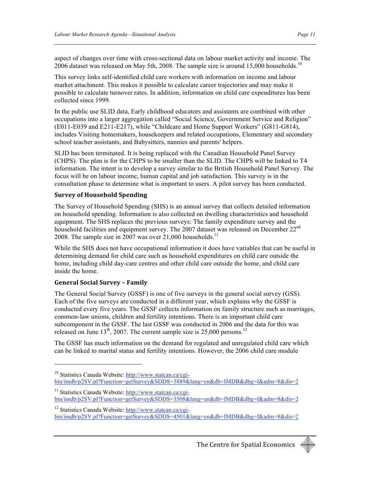aspect of changes over time with cross-sectional data on labour market activity and income. The 2006 dataset was released on May 5th, 2008. The sample size is around 15,000 households.<sup>10</sup>

This survey links self-identified child care workers with information on income and labour market attachment. This makes it possible to calculate career trajectories and may make it possible to calculate turnover rates. In addition, information on child care expenditures has been collected since 1999.

In the public use SLID data, Early childhood educators and assistants are combined with other occupations into a larger aggregation called "Social Science, Government Service and Religion" (E011-E039 and E211-E217), while "Childcare and Home Support Workers" (G811-G814), includes Visiting homemakers, housekeepers and related occupations, Elementary and secondary school teacher assistants, and Babysitters, nannies and parents' helpers.

SLID has been terminated. It is being replaced with the Canadian Household Panel Survey (CHPS). The plan is for the CHPS to be smaller than the SLID. The CHPS will be linked to T4 information. The intent is to develop a survey similar to the British Household Panel Survey. The focus will be on labour income, human capital and job satisfaction. This survey is in the consultation phase to determine what is important to users. A pilot survey has been conducted.

#### **Survey
of
Household
Spending**

The Survey of Household Spending (SHS) is an annual survey that collects detailed information on household spending. Information is also collected on dwelling characteristics and household equipment. The SHS replaces the previous surveys: The family expenditure survey and the household facilities and equipment survey. The 2007 dataset was released on December 22<sup>nd</sup> 2008. The sample size in  $2007$  was over 21,000 households.<sup>11</sup>

While the SHS does not have occupational information it does have variables that can be useful in determining demand for child care such as household expenditures on child care outside the home, including child day-care centres and other child care outside the home, and child care inside the home.

#### **General
Social
Survey
–
Family**

<u>.</u>

The General Social Survey (GSSF) is one of five surveys in the general social survey (GSS). Each of the five surveys are conducted in a different year, which explains why the GSSF is conducted every five years. The GSSF collects information on family structure such as marriages, common-law unions, children and fertility intentions. There is an important child care subcomponent in the GSSF. The last GSSF was conducted in 2006 and the data for this was released on June  $13<sup>th</sup>$ , 2007. The current sample size is 25,000 persons.<sup>12</sup>

The GSSF has much information on the demand for regulated and unregulated child care which can be linked to marital status and fertility intentions. However, the 2006 child care module



<sup>&</sup>lt;sup>10</sup> Statistics Canada Website: http://www.statcan.ca/cgibin/imdb/p2SV.pl?Function=getSurvey&SDDS=3889&lang=en&db=IMDB&dbg=f&adm=8&dis=2

<sup>&</sup>lt;sup>11</sup> Statistics Canada Website: http://www.statcan.ca/cgibin/imdb/p2SV.pl?Function=getSurvey&SDDS=3508&lang=en&db=IMDB&dbg=f&adm=8&dis=2

<sup>12</sup> Statistics Canada Website: http://www.statcan.ca/cgibin/imdb/p2SV.pl?Function=getSurvey&SDDS=4501&lang=en&db=IMDB&dbg=f&adm=8&dis=2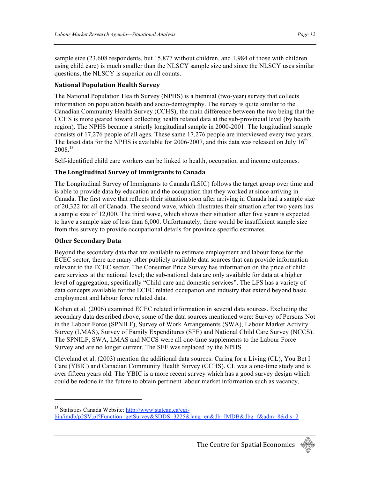sample size (23,608 respondents, but 15,877 without children, and 1,984 of those with children using child care) is much smaller than the NLSCY sample size and since the NLSCY uses similar questions, the NLSCY is superior on all counts.

#### **National
Population
Health
Survey**

The National Population Health Survey (NPHS) is a biennial (two-year) survey that collects information on population health and socio-demography. The survey is quite similar to the Canadian Community Health Survey (CCHS), the main difference between the two being that the CCHS is more geared toward collecting health related data at the sub-provincial level (by health region). The NPHS became a strictly longitudinal sample in 2000-2001. The longitudinal sample consists of 17,276 people of all ages. These same 17,276 people are interviewed every two years. The latest data for the NPHS is available for 2006-2007, and this data was released on July  $16<sup>th</sup>$ 2008.<sup>13</sup>

Self-identified child care workers can be linked to health, occupation and income outcomes.

#### **The
Longitudinal
Survey
of
Immigrants
to
Canada**

The Longitudinal Survey of Immigrants to Canada (LSIC) follows the target group over time and is able to provide data by education and the occupation that they worked at since arriving in Canada. The first wave that reflects their situation soon after arriving in Canada had a sample size of 20,322 for all of Canada. The second wave, which illustrates their situation after two years has a sample size of 12,000. The third wave, which shows their situation after five years is expected to have a sample size of less than 6,000. Unfortunately, there would be insufficient sample size from this survey to provide occupational details for province specific estimates.

#### **Other
Secondary
Data**

<u>.</u>

Beyond the secondary data that are available to estimate employment and labour force for the ECEC sector, there are many other publicly available data sources that can provide information relevant to the ECEC sector. The Consumer Price Survey has information on the price of child care services at the national level; the sub-national data are only available for data at a higher level of aggregation, specifically "Child care and domestic services". The LFS has a variety of data concepts available for the ECEC related occupation and industry that extend beyond basic employment and labour force related data.

Kohen et al. (2006) examined ECEC related information in several data sources. Excluding the secondary data described above, some of the data sources mentioned were: Survey of Persons Not in the Labour Force (SPNILF), Survey of Work Arrangements (SWA), Labour Market Activity Survey (LMAS), Survey of Family Expenditures (SFE) and National Child Care Survey (NCCS). The SPNILF, SWA, LMAS and NCCS were all one-time supplements to the Labour Force Survey and are no longer current. The SFE was replaced by the NPHS.

Cleveland et al. (2003) mention the additional data sources: Caring for a Living (CL), You Bet I Care (YBIC) and Canadian Community Health Survey (CCHS). CL was a one-time study and is over fifteen years old. The YBIC is a more recent survey which has a good survey design which could be redone in the future to obtain pertinent labour market information such as vacancy,



<sup>&</sup>lt;sup>13</sup> Statistics Canada Website: http://www.statcan.ca/cgibin/imdb/p2SV.pl?Function=getSurvey&SDDS=3225&lang=en&db=IMDB&dbg=f&adm=8&dis=2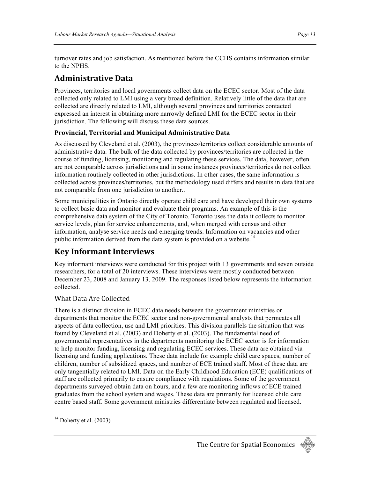turnover rates and job satisfaction. As mentioned before the CCHS contains information similar to the NPHS.

### **Administrative
Data**

Provinces, territories and local governments collect data on the ECEC sector. Most of the data collected only related to LMI using a very broad definition. Relatively little of the data that are collected are directly related to LMI, although several provinces and territories contacted expressed an interest in obtaining more narrowly defined LMI for the ECEC sector in their jurisdiction. The following will discuss these data sources.

#### **Provincial,
Territorial
and
Municipal
Administrative
Data**

As discussed by Cleveland et al. (2003), the provinces/territories collect considerable amounts of administrative data. The bulk of the data collected by provinces/territories are collected in the course of funding, licensing, monitoring and regulating these services. The data, however, often are not comparable across jurisdictions and in some instances provinces/territories do not collect information routinely collected in other jurisdictions. In other cases, the same information is collected across provinces/territories, but the methodology used differs and results in data that are not comparable from one jurisdiction to another..

Some municipalities in Ontario directly operate child care and have developed their own systems to collect basic data and monitor and evaluate their programs. An example of this is the comprehensive data system of the City of Toronto. Toronto uses the data it collects to monitor service levels, plan for service enhancements, and, when merged with census and other information, analyse service needs and emerging trends. Information on vacancies and other public information derived from the data system is provided on a website.<sup>14</sup>

### **Key
Informant
Interviews**

Key informant interviews were conducted for this project with 13 governments and seven outside researchers, for a total of 20 interviews. These interviews were mostly conducted between December 23, 2008 and January 13, 2009. The responses listed below represents the information collected.

#### What
Data
Are
Collected

There is a distinct division in ECEC data needs between the government ministries or departments that monitor the ECEC sector and non-governmental analysts that permeates all aspects of data collection, use and LMI priorities. This division parallels the situation that was found by Cleveland et al. (2003) and Doherty et al. (2003). The fundamental need of governmental representatives in the departments monitoring the ECEC sector is for information to help monitor funding, licensing and regulating ECEC services. These data are obtained via licensing and funding applications. These data include for example child care spaces, number of children, number of subsidized spaces, and number of ECE trained staff. Most of these data are only tangentially related to LMI. Data on the Early Childhood Education (ECE) qualifications of staff are collected primarily to ensure compliance with regulations. Some of the government departments surveyed obtain data on hours, and a few are monitoring inflows of ECE trained graduates from the school system and wages. These data are primarily for licensed child care centre based staff. Some government ministries differentiate between regulated and licensed.



 $14$  Doherty et al. (2003)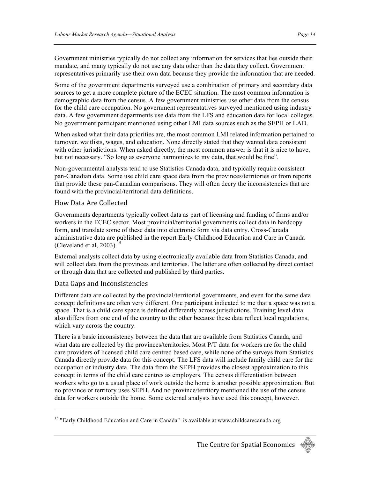Government ministries typically do not collect any information for services that lies outside their mandate, and many typically do not use any data other than the data they collect. Government representatives primarily use their own data because they provide the information that are needed.

Some of the government departments surveyed use a combination of primary and secondary data sources to get a more complete picture of the ECEC situation. The most common information is demographic data from the census. A few government ministries use other data from the census for the child care occupation. No government representatives surveyed mentioned using industry data. A few government departments use data from the LFS and education data for local colleges. No government participant mentioned using other LMI data sources such as the SEPH or LAD.

When asked what their data priorities are, the most common LMI related information pertained to turnover, waitlists, wages, and education. None directly stated that they wanted data consistent with other jurisdictions. When asked directly, the most common answer is that it is nice to have, but not necessary. "So long as everyone harmonizes to my data, that would be fine".

Non-governmental analysts tend to use Statistics Canada data, and typically require consistent pan-Canadian data. Some use child care space data from the provinces/territories or from reports that provide these pan-Canadian comparisons. They will often decry the inconsistencies that are found with the provincial/territorial data definitions.

#### How
Data
Are
Collected

Governments departments typically collect data as part of licensing and funding of firms and/or workers in the ECEC sector. Most provincial/territorial governments collect data in hardcopy form, and translate some of these data into electronic form via data entry. Cross-Canada administrative data are published in the report Early Childhood Education and Care in Canada (Cleveland et al,  $2003$ ).<sup>15</sup>

External analysts collect data by using electronically available data from Statistics Canada, and will collect data from the provinces and territories. The latter are often collected by direct contact or through data that are collected and published by third parties.

#### Data
Gaps
and
Inconsistencies

<u>.</u>

Different data are collected by the provincial/territorial governments, and even for the same data concept definitions are often very different. One participant indicated to me that a space was not a space. That is a child care space is defined differently across jurisdictions. Training level data also differs from one end of the country to the other because these data reflect local regulations, which vary across the country.

There is a basic inconsistency between the data that are available from Statistics Canada, and what data are collected by the provinces/territories. Most P/T data for workers are for the child care providers of licensed child care centred based care, while none of the surveys from Statistics Canada directly provide data for this concept. The LFS data will include family child care for the occupation or industry data. The data from the SEPH provides the closest approximation to this concept in terms of the child care centres as employers. The census differentiation between workers who go to a usual place of work outside the home is another possible approximation. But no province or territory uses SEPH. And no province/territory mentioned the use of the census data for workers outside the home. Some external analysts have used this concept, however.



<sup>&</sup>lt;sup>15</sup> "Early Childhood Education and Care in Canada" is available at www.childcarecanada.org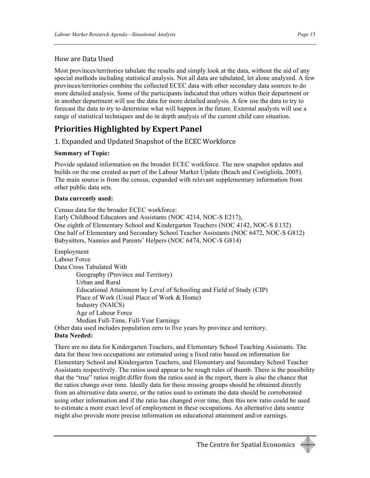### How
are
Data
Used

Most provinces/territories tabulate the results and simply look at the data, without the aid of any special methods including statistical analysis. Not all data are tabulated, let alone analyzed. A few provinces/territories combine the collected ECEC data with other secondary data sources to do more detailed analysis. Some of the participants indicated that others within their department or in another department will use the data for more detailed analysis. A few use the data to try to forecast the data to try to determine what will happen in the future. External analysts will use a range of statistical techniques and do in depth analysis of the current child care situation.

## **Priorities
Highlighted
by
Expert
Panel**

1.
Expanded
and
Updated
Snapshot
of
the
ECEC
Workforce

#### **Summary of Topic:**

Provide updated information on the broader ECEC workforce. The new snapshot updates and builds on the one created as part of the Labour Market Update (Beach and Costigliola, 2005). The main source is from the census, expanded with relevant supplementary information from other public data sets.

#### **Data currently used:**

Census data for the broader ECEC workforce: Early Childhood Educators and Assistants (NOC 4214, NOC-S E217), One eighth of Elementary School and Kindergarten Teachers (NOC 4142, NOC-S E132) One half of Elementary and Secondary School Teacher Assistants (NOC 6472, NOC-S G812) Babysitters, Nannies and Parents' Helpers (NOC 6474, NOC-S G814)

Employment Labour Force Data Cross Tabulated With Geography (Province and Territory) Urban and Rural Educational Attainment by Level of Schooling and Field of Study (CIP) Place of Work (Usual Place of Work & Home) Industry (NAICS) Age of Labour Force Median Full-Time, Full-Year Earnings Other data used includes population zero to five years by province and territory.

### **Data Needed:**

There are no data for Kindergarten Teachers, and Elementary School Teaching Assistants. The data for these two occupations are estimated using a fixed ratio based on information for Elementary School and Kindergarten Teachers, and Elementary and Secondary School Teacher Assistants respectively. The ratios used appear to be rough rules of thumb. There is the possibility that the "true" ratios might differ from the ratios used in the report, there is also the chance that the ratios change over time. Ideally data for these missing groups should be obtained directly from an alternative data source, or the ratios used to estimate the data should be corroborated using other information and if the ratio has changed over time, then this new ratio could be used to estimate a more exact level of employment in these occupations. An alternative data source might also provide more precise information on educational attainment and/or earnings.

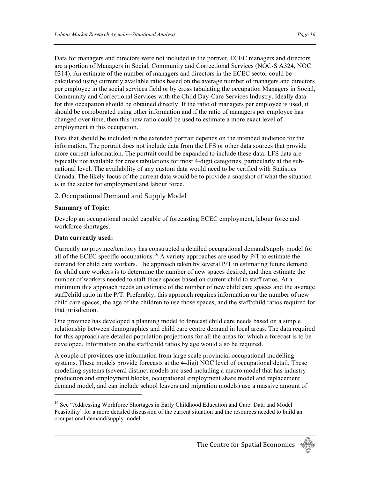Data for managers and directors were not included in the portrait. ECEC managers and directors are a portion of Managers in Social, Community and Correctional Services (NOC-S A324, NOC 0314). An estimate of the number of managers and directors in the ECEC sector could be calculated using currently available ratios based on the average number of managers and directors per employee in the social services field or by cross tabulating the occupation Managers in Social, Community and Correctional Services with the Child Day-Care Services Industry. Ideally data for this occupation should be obtained directly. If the ratio of managers per employee is used, it should be corroborated using other information and if the ratio of managers per employee has changed over time, then this new ratio could be used to estimate a more exact level of employment in this occupation.

Data that should be included in the extended portrait depends on the intended audience for the information. The portrait does not include data from the LFS or other data sources that provide more current information. The portrait could be expanded to include these data. LFS data are typically not available for cross tabulations for most 4-digit categories, particularly at the subnational level. The availability of any custom data would need to be verified with Statistics Canada. The likely focus of the current data would be to provide a snapshot of what the situation is in the sector for employment and labour force.

#### 2.
Occupational
Demand
and
Supply
Model

#### **Summary of Topic:**

Develop an occupational model capable of forecasting ECEC employment, labour force and workforce shortages.

#### **Data currently used:**

<u>.</u>

Currently no province/territory has constructed a detailed occupational demand/supply model for all of the ECEC specific occupations.<sup>16</sup> A variety approaches are used by  $P/T$  to estimate the demand for child care workers. The approach taken by several P/T in estimating future demand for child care workers is to determine the number of new spaces desired, and then estimate the number of workers needed to staff those spaces based on current child to staff ratios. At a minimum this approach needs an estimate of the number of new child care spaces and the average staff/child ratio in the P/T. Preferably, this approach requires information on the number of new child care spaces, the age of the children to use those spaces, and the staff/child ratios required for that jurisdiction.

One province has developed a planning model to forecast child care needs based on a simple relationship between demographics and child care centre demand in local areas. The data required for this approach are detailed population projections for all the areas for which a forecast is to be developed. Information on the staff/child ratios by age would also be required.

A couple of provinces use information from large scale provincial occupational modelling systems. These models provide forecasts at the 4-digit NOC level of occupational detail. These modelling systems (several distinct models are used including a macro model that has industry production and employment blocks, occupational employment share model and replacement demand model, and can include school leavers and migration models) use a massive amount of



<sup>&</sup>lt;sup>16</sup> See "Addressing Workforce Shortages in Early Childhood Education and Care: Data and Model Feasibility" for a more detailed discussion of the current situation and the resources needed to build an occupational demand/supply model.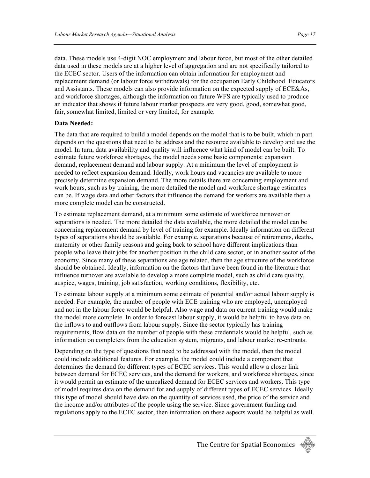data. These models use 4-digit NOC employment and labour force, but most of the other detailed data used in these models are at a higher level of aggregation and are not specifically tailored to the ECEC sector. Users of the information can obtain information for employment and replacement demand (or labour force withdrawals) for the occupation Early Childhood Educators and Assistants. These models can also provide information on the expected supply of ECE&As, and workforce shortages, although the information on future WFS are typically used to produce an indicator that shows if future labour market prospects are very good, good, somewhat good, fair, somewhat limited, limited or very limited, for example.

#### **Data Needed:**

The data that are required to build a model depends on the model that is to be built, which in part depends on the questions that need to be address and the resource available to develop and use the model. In turn, data availability and quality will influence what kind of model can be built. To estimate future workforce shortages, the model needs some basic components: expansion demand, replacement demand and labour supply. At a minimum the level of employment is needed to reflect expansion demand. Ideally, work hours and vacancies are available to more precisely determine expansion demand. The more details there are concerning employment and work hours, such as by training, the more detailed the model and workforce shortage estimates can be. If wage data and other factors that influence the demand for workers are available then a more complete model can be constructed.

To estimate replacement demand, at a minimum some estimate of workforce turnover or separations is needed. The more detailed the data available, the more detailed the model can be concerning replacement demand by level of training for example. Ideally information on different types of separations should be available. For example, separations because of retirements, deaths, maternity or other family reasons and going back to school have different implications than people who leave their jobs for another position in the child care sector, or in another sector of the economy. Since many of these separations are age related, then the age structure of the workforce should be obtained. Ideally, information on the factors that have been found in the literature that influence turnover are available to develop a more complete model, such as child care quality, auspice, wages, training, job satisfaction, working conditions, flexibility, etc.

To estimate labour supply at a minimum some estimate of potential and/or actual labour supply is needed. For example, the number of people with ECE training who are employed, unemployed and not in the labour force would be helpful. Also wage and data on current training would make the model more complete. In order to forecast labour supply, it would be helpful to have data on the inflows to and outflows from labour supply. Since the sector typically has training requirements, flow data on the number of people with these credentials would be helpful, such as information on completers from the education system, migrants, and labour market re-entrants.

Depending on the type of questions that need to be addressed with the model, then the model could include additional features. For example, the model could include a component that determines the demand for different types of ECEC services. This would allow a closer link between demand for ECEC services, and the demand for workers, and workforce shortages, since it would permit an estimate of the unrealized demand for ECEC services and workers. This type of model requires data on the demand for and supply of different types of ECEC services. Ideally this type of model should have data on the quantity of services used, the price of the service and the income and/or attributes of the people using the service. Since government funding and regulations apply to the ECEC sector, then information on these aspects would be helpful as well.

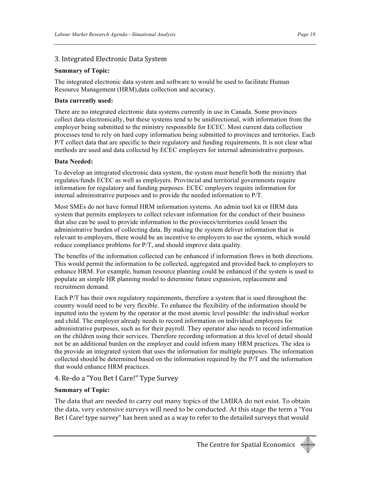#### 3.
Integrated
Electronic
Data
System

#### **Summary of Topic:**

The integrated electronic data system and software to would be used to facilitate Human Resource Management (HRM),data collection and accuracy.

#### **Data currently used:**

There are no integrated electronic data systems currently in use in Canada. Some provinces collect data electronically, but these systems tend to be unidirectional, with information from the employer being submitted to the ministry responsible for ECEC. Most current data collection processes tend to rely on hard copy information being submitted to provinces and territories. Each P/T collect data that are specific to their regulatory and funding requirements. It is not clear what methods are used and data collected by ECEC employers for internal administrative purposes.

#### **Data Needed:**

To develop an integrated electronic data system, the system must benefit both the ministry that regulates/funds ECEC as well as employers. Provincial and territorial governments require information for regulatory and funding purposes. ECEC employers require information for internal administrative purposes and to provide the needed information to P/T.

Most SMEs do not have formal HRM information systems. An admin tool kit or HRM data system that permits employers to collect relevant information for the conduct of their business that also can be used to provide information to the provinces/territories could lessen the administrative burden of collecting data. By making the system deliver information that is relevant to employers, there would be an incentive to employers to use the system, which would reduce compliance problems for P/T, and should improve data quality.

The benefits of the information collected can be enhanced if information flows in both directions. This would permit the information to be collected, aggregated and provided back to employers to enhance HRM. For example, human resource planning could be enhanced if the system is used to populate an simple HR planning model to determine future expansion, replacement and recruitment demand.

Each P/T has their own regulatory requirements, therefore a system that is used throughout the country would need to be very flexible. To enhance the flexibility of the information should be inputted into the system by the operator at the most atomic level possible: the individual worker and child. The employer already needs to record information on individual employees for administrative purposes, such as for their payroll. They operator also needs to record information on the children using their services. Therefore recording information at this level of detail should not be an additional burden on the employer and could inform many HRM practices. The idea is the provide an integrated system that uses the information for multiple purposes. The information collected should be determined based on the information required by the P/T and the information that would enhance HRM practices.

#### 4.
Re‐do
a
"You
Bet
I
Care!"
Type
Survey

#### **Summary of Topic:**

The data that are needed to carry out many topics of the LMIRA do not exist. To obtain the data, very extensive surveys will need to be conducted. At this stage the term a "You Bet I Care! type survey" has been used as a way to refer to the detailed surveys that would

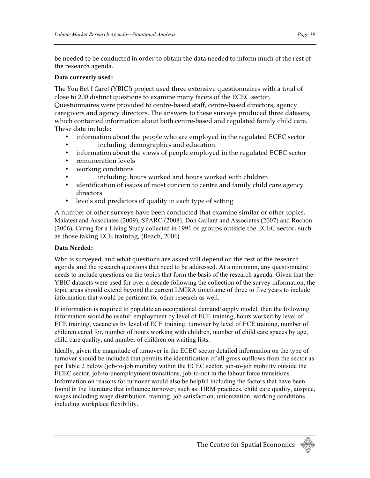be needed to be conducted in order to obtain the data needed to inform much of the rest of the
research
agenda.

#### **Data currently used:**

The You
Bet
I
Care! (YBIC!) project used three extensive questionnaires with a total of close to 200 distinct questions to examine many facets of the ECEC sector.

Questionnaires were provided to centre-based staff, centre-based directors, agency caregivers and agency directors. The answers to these surveys produced three datasets, which contained information about both centre-based and regulated family child care. These data include:

- information about the people who are employed in the regulated ECEC sector
- including: demographics and education
- information about the views of people employed in the regulated ECEC sector
- remuneration levels
- working conditions
	- including: hours worked and hours worked with children
- identification of issues of most concern to centre and family child care agency directors
- levels and predictors of quality in each type of setting

A number of other surveys have been conducted that examine similar or other topics, Malatest and Associates (2009), SPARC (2008), Don Gallant and Associates (2007) and Rochon (2006), Caring for a Living Study collected in 1991 or groups outside the ECEC sector, such as those taking ECE training, (Beach, 2004)

#### **Data Needed:**

Who is surveyed, and what questions are asked will depend on the rest of the research agenda
and the research questions that need to be addressed. At a minimum, any questionnaire needs to include questions on the topics that form the basis of the research agenda. Given that the YBIC datasets were used for over a decade following the collection of the survey information, the topic areas should extend beyond the current LMIRA timeframe of three to five years to include information that would be pertinent for other research as well.

If information is required to populate an occupational demand/supply model, then the following information would be useful: employment by level of ECE training, hours worked by level of ECE training, vacancies by level of ECE training, turnover by level of ECE training, number of children cared for, number of hours working with children, number of child care spaces by age, child care quality, and number of children on waiting lists.

Ideally, given the magnitude of turnover in the ECEC sector detailed information on the type of turnover should be included that permits the identification of all gross outflows from the sector as per Table 2 below (job-to-job mobility within the ECEC sector, job-to-job mobility outside the ECEC sector, job-to-unemployment transitions, job-to-not in the labour force transitions. Information on reasons for turnover would also be helpful including the factors that have been found in the literature that influence turnover, such as: HRM practices, child care quality, auspice, wages including wage distribution, training, job satisfaction, unionization, working conditions including workplace flexibility.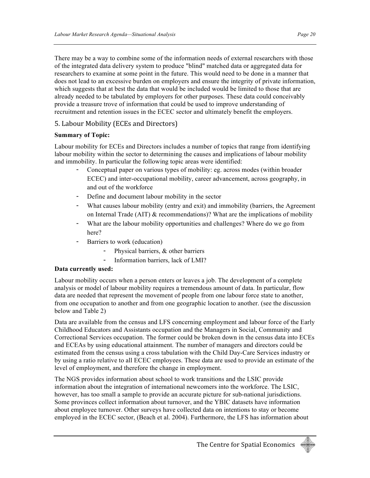There may be a way to combine some of the information needs of external researchers with those of the integrated data delivery system to produce "blind" matched data or aggregated data for researchers to examine at some point in the future. This would need to be done in a manner that does not lead to an excessive burden on employers and ensure the integrity of private information, which suggests that at best the data that would be included would be limited to those that are already needed to be tabulated by employers for other purposes. These data could conceivably provide a treasure trove of information that could be used to improve understanding of recruitment and retention issues in the ECEC sector and ultimately benefit the employers.

#### 5.
Labour
Mobility
(ECEs
and
Directors)

#### **Summary of Topic:**

Labour mobility for ECEs and Directors includes a number of topics that range from identifying labour mobility within the sector to determining the causes and implications of labour mobility and immobility. In particular the following topic areas were identified:

- Conceptual paper on various types of mobility: eg. across modes (within broader ECEC) and inter-occupational mobility, career advancement, across geography, in and out of the workforce
- Define and document labour mobility in the sector
- What causes labour mobility (entry and exit) and immobility (barriers, the Agreement on Internal Trade (AIT)  $\&$  recommendations)? What are the implications of mobility
- What are the labour mobility opportunities and challenges? Where do we go from here?
- Barriers to work (education)
	- Physical barriers, & other barriers
	- Information barriers, lack of LMI?

#### **Data currently used:**

Labour mobility occurs when a person enters or leaves a job. The development of a complete analysis or model of labour mobility requires a tremendous amount of data. In particular, flow data are needed that represent the movement of people from one labour force state to another, from one occupation to another and from one geographic location to another. (see the discussion below and Table 2)

Data are available from the census and LFS concerning employment and labour force of the Early Childhood Educators and Assistants occupation and the Managers in Social, Community and Correctional Services occupation. The former could be broken down in the census data into ECEs and ECEAs by using educational attainment. The number of managers and directors could be estimated from the census using a cross tabulation with the Child Day-Care Services industry or by using a ratio relative to all ECEC employees. These data are used to provide an estimate of the level of employment, and therefore the change in employment.

The NGS provides information about school to work transitions and the LSIC provide information about the integration of international newcomers into the workforce. The LSIC, however, has too small a sample to provide an accurate picture for sub-national jurisdictions. Some provinces collect information about turnover, and the YBIC datasets have information about employee turnover. Other surveys have collected data on intentions to stay or become employed in the ECEC sector, (Beach et al. 2004). Furthermore, the LFS has information about

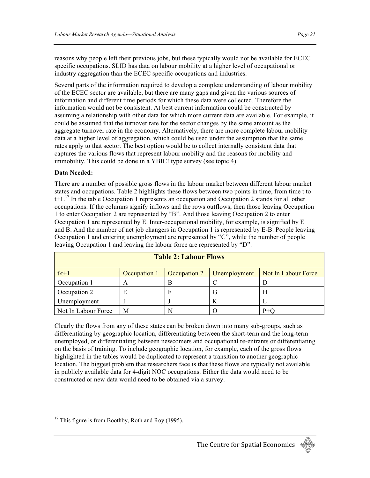reasons why people left their previous jobs, but these typically would not be available for ECEC specific occupations. SLID has data on labour mobility at a higher level of occupational or industry aggregation than the ECEC specific occupations and industries.

Several parts of the information required to develop a complete understanding of labour mobility of the ECEC sector are available, but there are many gaps and given the various sources of information and different time periods for which these data were collected. Therefore the information would not be consistent. At best current information could be constructed by assuming a relationship with other data for which more current data are available. For example, it could be assumed that the turnover rate for the sector changes by the same amount as the aggregate turnover rate in the economy. Alternatively, there are more complete labour mobility data at a higher level of aggregation, which could be used under the assumption that the same rates apply to that sector. The best option would be to collect internally consistent data that captures the various flows that represent labour mobility and the reasons for mobility and immobility. This could be done in a YBIC! type survey (see topic 4).

#### **Data Needed:**

There are a number of possible gross flows in the labour market between different labour market states and occupations. Table 2 highlights these flows between two points in time, from time t to  $t+1$ <sup>17</sup>. In the table Occupation 1 represents an occupation and Occupation 2 stands for all other occupations. If the columns signify inflows and the rows outflows, then those leaving Occupation 1 to enter Occupation 2 are represented by "B". And those leaving Occupation 2 to enter Occupation 1 are represented by E. Inter-occupational mobility, for example, is signified by E and B. And the number of net job changers in Occupation 1 is represented by E-B. People leaving Occupation 1 and entering unemployment are represented by "C", while the number of people leaving Occupation 1 and leaving the labour force are represented by "D".

| <b>Table 2: Labour Flows</b> |              |              |              |                            |  |  |
|------------------------------|--------------|--------------|--------------|----------------------------|--|--|
| $t \t + 1$                   | Occupation 1 | Occupation 2 | Unemployment | <b>Not In Labour Force</b> |  |  |
| Occupation 1                 | A            | В            |              |                            |  |  |
| Occupation 2                 | E            |              | G            | Н                          |  |  |
| Unemployment                 |              |              | K            |                            |  |  |
| Not In Labour Force          | M            |              |              |                            |  |  |

Clearly the flows from any of these states can be broken down into many sub-groups, such as differentiating by geographic location, differentiating between the short-term and the long-term unemployed, or differentiating between newcomers and occupational re-entrants or differentiating on the basis of training. To include geographic location, for example, each of the gross flows highlighted in the tables would be duplicated to represent a transition to another geographic location. The biggest problem that researchers face is that these flows are typically not available in publicly available data for 4-digit NOC occupations. Either the data would need to be constructed or new data would need to be obtained via a survey.



 $17$  This figure is from Boothby, Roth and Roy (1995).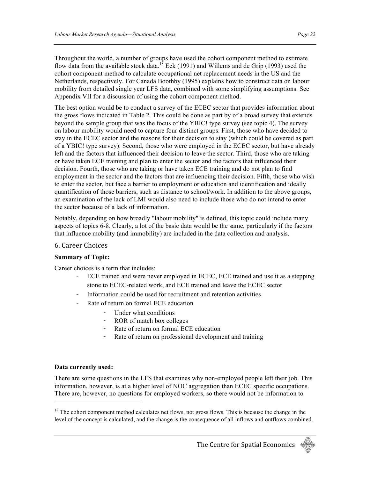Throughout the world, a number of groups have used the cohort component method to estimate flow data from the available stock data.<sup>18</sup> Eck (1991) and Willems and de Grip (1993) used the cohort component method to calculate occupational net replacement needs in the US and the Netherlands, respectively. For Canada Boothby (1995) explains how to construct data on labour mobility from detailed single year LFS data, combined with some simplifying assumptions. See Appendix VII for a discussion of using the cohort component method.

The best option would be to conduct a survey of the ECEC sector that provides information about the gross flows indicated in Table 2. This could be done as part by of a broad survey that extends beyond the sample group that was the focus of the YBIC! type survey (see topic 4). The survey on labour mobility would need to capture four distinct groups. First, those who have decided to stay in the ECEC sector and the reasons for their decision to stay (which could be covered as part of a YBIC! type survey). Second, those who were employed in the ECEC sector, but have already left and the factors that influenced their decision to leave the sector. Third, those who are taking or have taken ECE training and plan to enter the sector and the factors that influenced their decision. Fourth, those who are taking or have taken ECE training and do not plan to find employment in the sector and the factors that are influencing their decision. Fifth, those who wish to enter the sector, but face a barrier to employment or education and identification and ideally quantification of those barriers, such as distance to school/work. In addition to the above groups, an examination of the lack of LMI would also need to include those who do not intend to enter the sector because of a lack of information.

Notably, depending on how broadly "labour mobility" is defined, this topic could include many aspects of topics 6-8. Clearly, a lot of the basic data would be the same, particularly if the factors that influence mobility (and immobility) are included in the data collection and analysis.

#### 6.
Career
Choices

#### **Summary of Topic:**

Career choices is a term that includes:

- ECE trained and were never employed in ECEC, ECE trained and use it as a stepping stone to ECEC-related work, and ECE trained and leave the ECEC sector
- Information could be used for recruitment and retention activities
- Rate of return on formal ECE education
	- Under what conditions
	- ROR of match box colleges
	- Rate of return on formal ECE education
	- Rate of return on professional development and training

#### **Data currently used:**

<u>.</u>

There are some questions in the LFS that examines why non-employed people left their job. This information, however, is at a higher level of NOC aggregation than ECEC specific occupations. There are, however, no questions for employed workers, so there would not be information to

<sup>&</sup>lt;sup>18</sup> The cohort component method calculates net flows, not gross flows. This is because the change in the level of the concept is calculated, and the change is the consequence of all inflows and outflows combined.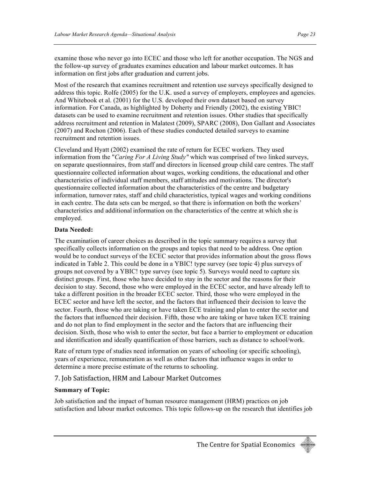examine those who never go into ECEC and those who left for another occupation. The NGS and the follow-up survey of graduates examines education and labour market outcomes. It has information on first jobs after graduation and current jobs.

Most of the research that examines recruitment and retention use surveys specifically designed to address this topic. Rolfe (2005) for the U.K. used a survey of employers, employees and agencies. And Whitebook et al. (2001) for the U.S. developed their own dataset based on survey information. For Canada, as highlighted by Doherty and Friendly (2002), the existing YBIC! datasets can be used to examine recruitment and retention issues. Other studies that specifically address recruitment and retention in Malatest (2009), SPARC (2008), Don Gallant and Associates (2007) and Rochon (2006). Each of these studies conducted detailed surveys to examine recruitment and retention issues.

Cleveland and Hyatt (2002) examined the rate of return for ECEC workers. They used information from the "*Caring For A Living Study"* which was comprised of two linked surveys, on separate questionnaires, from staff and directors in licensed group child care centres. The staff questionnaire collected information about wages, working conditions, the educational and other characteristics of individual staff members, staff attitudes and motivations. The director's questionnaire collected information about the characteristics of the centre and budgetary information, turnover rates, staff and child characteristics, typical wages and working conditions in each centre. The data sets can be merged, so that there is information on both the workers' characteristics and additional information on the characteristics of the centre at which she is employed.

#### **Data Needed:**

The examination of career choices as described in the topic summary requires a survey that specifically collects information on the groups and topics that need to be address. One option would be to conduct surveys of the ECEC sector that provides information about the gross flows indicated in Table 2. This could be done in a YBIC! type survey (see topic 4) plus surveys of groups not covered by a YBIC! type survey (see topic 5). Surveys would need to capture six distinct groups. First, those who have decided to stay in the sector and the reasons for their decision to stay. Second, those who were employed in the ECEC sector, and have already left to take a different position in the broader ECEC sector. Third, those who were employed in the ECEC sector and have left the sector, and the factors that influenced their decision to leave the sector. Fourth, those who are taking or have taken ECE training and plan to enter the sector and the factors that influenced their decision. Fifth, those who are taking or have taken ECE training and do not plan to find employment in the sector and the factors that are influencing their decision. Sixth, those who wish to enter the sector, but face a barrier to employment or education and identification and ideally quantification of those barriers, such as distance to school/work.

Rate of return type of studies need information on years of schooling (or specific schooling), years of experience, remuneration as well as other factors that influence wages in order to determine a more precise estimate of the returns to schooling.

#### 7.
Job
Satisfaction,
HRM
and
Labour
Market
Outcomes

#### **Summary of Topic:**

Job satisfaction and the impact of human resource management (HRM) practices on job satisfaction and labour market outcomes. This topic follows-up on the research that identifies job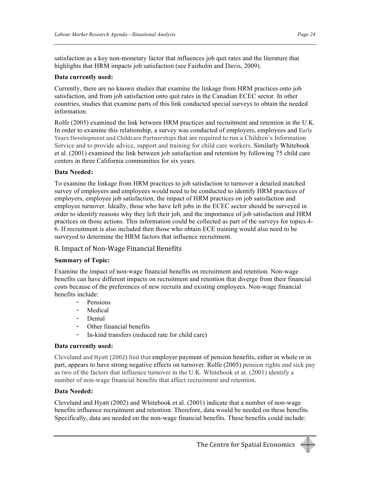satisfaction as a key non-monetary factor that influences job quit rates and the literature that highlights that HRM impacts job satisfaction (see Fairholm and Davis, 2009).

#### **Data currently used:**

Currently, there are no known studies that examine the linkage from HRM practices onto job satisfaction, and from job satisfaction onto quit rates in the Canadian ECEC sector. In other countries, studies that examine parts of this link conducted special surveys to obtain the needed information.

Rolfe (2005) examined the link between HRM practices and recruitment and retention in the U.K. In order to examine this relationship, a survey was conducted of employers, employees and Early Years
Development
and
Childcare
Partnerships that are required to run a Children's Information Service and to provide advice, support and training for child care workers. Similarly Whitebook et al. (2001) examined the link between job satisfaction and retention by following 75 child care centers in three California communities for six years.

#### **Data Needed:**

To examine the linkage from HRM practices to job satisfaction to turnover a detailed matched survey of employers and employees would need to be conducted to identify HRM practices of employers, employee job satisfaction, the impact of HRM practices on job satisfaction and employee turnover. Ideally, those who have left jobs in the ECEC sector should be surveyed in order to identify reasons why they left their job, and the importance of job satisfaction and HRM practices on those actions. This information could be collected as part of the surveys for topics 4- 6. If recruitment is also included then those who obtain ECE training would also need to be surveyed to determine the HRM factors that influence recruitment.

#### 8.
Impact
of
Non‐Wage
Financial
Benefits

#### **Summary of Topic:**

Examine the impact of non-wage financial benefits on recruitment and retention. Non-wage benefits can have different impacts on recruitment and retention that diverge from their financial costs because of the preferences of new recruits and existing employees. Non-wage financial benefits include:

- Pensions
- Medical
- Dental
- Other financial benefits
- In-kind transfers (reduced rate for child care)

#### **Data currently used:**

Cleveland and
Hyatt
(2002)
find
that employer payment of pension benefits, either in whole or in part, appears to have strong negative effects on turnover. Rolfe (2005) pension rights and sick pay as two of the factors that influence turnover in the U.K. Whitebook et at. (2001) identify a number of non-wage financial benefits that affect recruitment and retention.

#### **Data Needed:**

Cleveland and Hyatt (2002) and Whitebook et al. (2001) indicate that a number of non-wage benefits influence recruitment and retention. Therefore, data would be needed on these benefits. Specifically, data are needed on the non-wage financial benefits. These benefits could include:

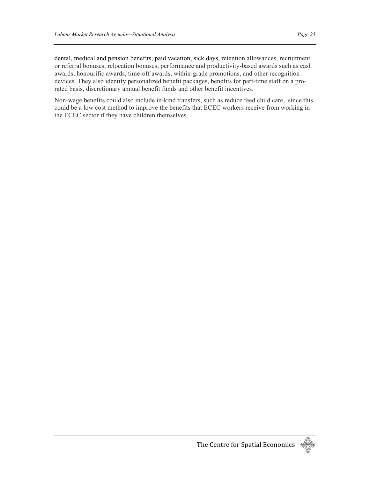dental, medical and pension benefits, paid vacation, sick days, retention allowances, recruitment or referral bonuses, relocation bonuses, performance and productivity-based awards such as cash awards, honourific awards, time-off awards, within-grade promotions, and other recognition devices. They also identify personalized benefit packages, benefits for part-time staff on a prorated basis, discretionary annual benefit funds and other benefit incentives.

Non-wage benefits could also include in-kind transfers, such as reduce feed child care, since this could be a low cost method to improve the benefits that ECEC workers receive from working in the ECEC sector if they have children themselves.

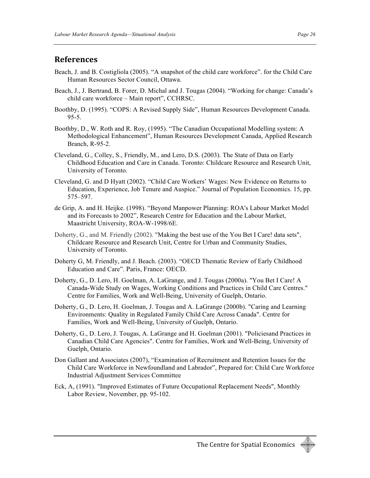### **References**

- Beach, J. and B. Costigliola (2005). "A snapshot of the child care workforce". for the Child Care Human Resources Sector Council, Ottawa.
- Beach, J., J. Bertrand, B. Forer, D. Michal and J. Tougas (2004). "Working for change: Canada's child care workforce – Main report", CCHRSC.
- Boothby, D. (1995). "COPS: A Revised Supply Side", Human Resources Development Canada.  $95 - 5.$
- Boothby, D., W. Roth and R. Roy, (1995). "The Canadian Occupational Modelling system: A Methodological Enhancement", Human Resources Development Canada, Applied Research Branch, R-95-2.
- Cleveland, G., Colley, S., Friendly, M., and Lero, D.S. (2003). The State of Data on Early Childhood Education and Care in Canada. Toronto: Childcare Resource and Research Unit, University of Toronto.
- Cleveland, G. and D Hyatt (2002). "Child Care Workers' Wages: New Evidence on Returns to Education, Experience, Job Tenure and Auspice." Journal of Population Economics. 15, pp. 575–597.
- de Grip, A. and H. Heijke. (1998). "Beyond Manpower Planning: ROA's Labour Market Model and its Forecasts to 2002", Research Centre for Education and the Labour Market, Maastricht University, ROA-W-1998/6E.
- Doherty, G., and M. Friendly (2002). "Making the best use of the You Bet I Care! data sets", Childcare Resource and Research Unit, Centre for Urban and Community Studies, University of Toronto.
- Doherty G, M. Friendly, and J. Beach. (2003). "OECD Thematic Review of Early Childhood Education and Care". Paris, France: OECD.
- Doherty, G., D. Lero, H. Goelman, A. LaGrange, and J. Tougas (2000a). "You Bet I Care! A Canada-Wide Study on Wages, Working Conditions and Practices in Child Care Centres." Centre for Families, Work and Well-Being, University of Guelph, Ontario.
- Doherty, G., D. Lero, H. Goelman, J. Tougas and A. LaGrange (2000b). "Caring and Learning Environments: Quality in Regulated Family Child Care Across Canada". Centre for Families, Work and Well-Being, University of Guelph, Ontario.
- Doherty, G., D. Lero, J. Tougas, A. LaGrange and H. Goelman (2001). "Policiesand Practices in Canadian Child Care Agencies". Centre for Families, Work and Well-Being, University of Guelph, Ontario.
- Don Gallant and Associates (2007), "Examination of Recruitment and Retention Issues for the Child Care Workforce in Newfoundland and Labrador", Prepared for: Child Care Workforce Industrial Adjustment Services Committee
- Eck, A, (1991). "Improved Estimates of Future Occupational Replacement Needs", Monthly Labor Review, November, pp. 95-102.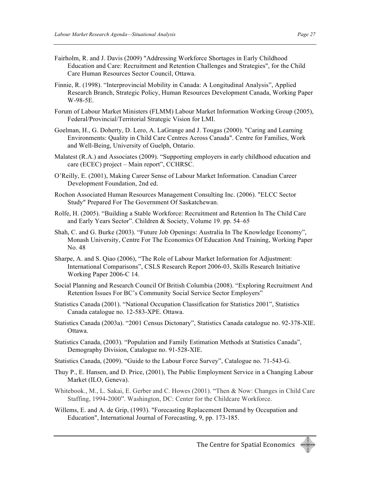- Fairholm, R. and J. Davis (2009) "Addressing Workforce Shortages in Early Childhood Education and Care: Recruitment and Retention Challenges and Strategies", for the Child Care Human Resources Sector Council, Ottawa.
- Finnie, R. (1998). "Interprovincial Mobility in Canada: A Longitudinal Analysis", Applied Research Branch, Strategic Policy, Human Resources Development Canada, Working Paper W-98-5E.
- Forum of Labour Market Ministers (FLMM) Labour Market Information Working Group (2005), Federal/Provincial/Territorial Strategic Vision for LMI.
- Goelman, H., G. Doherty, D. Lero, A. LaGrange and J. Tougas (2000). "Caring and Learning Environments: Quality in Child Care Centres Across Canada". Centre for Families, Work and Well-Being, University of Guelph, Ontario.
- Malatest (R.A.) and Associates (2009). "Supporting employers in early childhood education and care (ECEC) project – Main report", CCHRSC.
- O'Reilly, E. (2001), Making Career Sense of Labour Market Information. Canadian Career Development Foundation, 2nd ed.
- Rochon Associated Human Resources Management Consulting Inc. (2006). "ELCC Sector Study" Prepared For The Government Of Saskatchewan.
- Rolfe, H. (2005). "Building a Stable Workforce: Recruitment and Retention In The Child Care and Early Years Sector". Children & Society, Volume 19. pp. 54–65
- Shah, C. and G. Burke (2003). "Future Job Openings: Australia In The Knowledge Economy", Monash University, Centre For The Economics Of Education And Training, Working Paper No. 48
- Sharpe, A. and S. Qiao (2006), "The Role of Labour Market Information for Adjustment: International Comparisons", CSLS Research Report 2006-03, Skills Research Initiative Working Paper 2006-C 14.
- Social Planning and Research Council Of British Columbia (2008). "Exploring Recruitment And Retention Issues For BC's Community Social Service Sector Employers"
- Statistics Canada (2001). "National Occupation Classification for Statistics 2001", Statistics Canada catalogue no. 12-583-XPE. Ottawa.
- Statistics Canada (2003a). "2001 Census Dictonary", Statistics Canada catalogue no. 92-378-XIE. Ottawa.
- Statistics Canada, (2003). "Population and Family Estimation Methods at Statistics Canada", Demography Division, Catalogue no. 91-528-XIE.
- Statistics Canada, (2009). "Guide to the Labour Force Survey", Catalogue no. 71-543-G.
- Thuy P., E. Hansen, and D. Price, (2001), The Public Employment Service in a Changing Labour Market (ILO, Geneva).
- Whitebook., M., L. Sakai, E. Gerber and C. Howes (2001). "Then & Now: Changes in Child Care Staffing, 1994-2000". Washington, DC: Center for the Childcare Workforce.
- Willems, E. and A. de Grip, (1993). "Forecasting Replacement Demand by Occupation and Education", International Journal of Forecasting, 9, pp. 173-185.

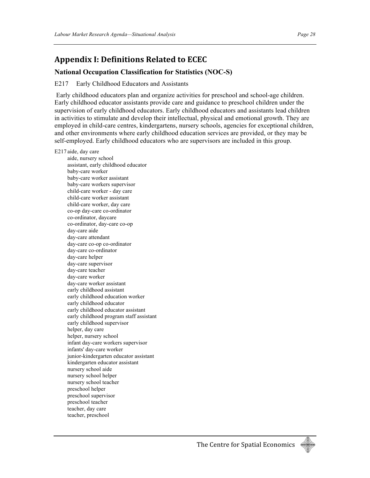### **Appendix
I:
Definitions
Related
to
ECEC**

#### **National Occupation Classification for Statistics (NOC-S)**

#### E217 Early Childhood Educators and Assistants

Early childhood educators plan and organize activities for preschool and school-age children. Early childhood educator assistants provide care and guidance to preschool children under the supervision of early childhood educators. Early childhood educators and assistants lead children in activities to stimulate and develop their intellectual, physical and emotional growth. They are employed in child-care centres, kindergartens, nursery schools, agencies for exceptional children, and other environments where early childhood education services are provided, or they may be self-employed. Early childhood educators who are supervisors are included in this group.

#### E217 aide, day care

aide, nursery school assistant, early childhood educator baby-care worker baby-care worker assistant baby-care workers supervisor child-care worker - day care child-care worker assistant child-care worker, day care co-op day-care co-ordinator co-ordinator, daycare co-ordinator, day-care co-op day-care aide day-care attendant day-care co-op co-ordinator day-care co-ordinator day-care helper day-care supervisor day-care teacher day-care worker day-care worker assistant early childhood assistant early childhood education worker early childhood educator early childhood educator assistant early childhood program staff assistant early childhood supervisor helper, day care helper, nursery school infant day-care workers supervisor infants' day-care worker junior-kindergarten educator assistant kindergarten educator assistant nursery school aide nursery school helper nursery school teacher preschool helper preschool supervisor preschool teacher teacher, day care teacher, preschool

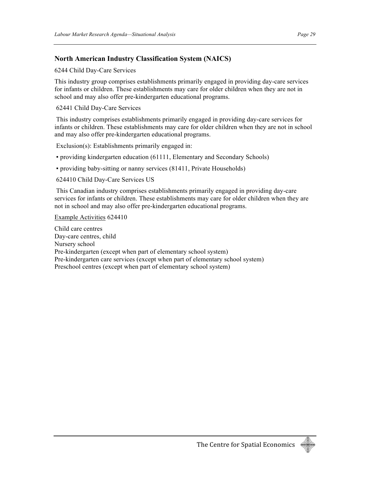#### **North American Industry Classification System (NAICS)**

6244 Child Day-Care Services

This industry group comprises establishments primarily engaged in providing day-care services for infants or children. These establishments may care for older children when they are not in school and may also offer pre-kindergarten educational programs.

62441 Child Day-Care Services

This industry comprises establishments primarily engaged in providing day-care services for infants or children. These establishments may care for older children when they are not in school and may also offer pre-kindergarten educational programs.

Exclusion(s): Establishments primarily engaged in:

▪ providing kindergarten education (61111, Elementary and Secondary Schools)

▪ providing baby-sitting or nanny services (81411, Private Households)

624410 Child Day-Care Services US

This Canadian industry comprises establishments primarily engaged in providing day-care services for infants or children. These establishments may care for older children when they are not in school and may also offer pre-kindergarten educational programs.

Example Activities 624410

Child care centres Day-care centres, child Nursery school Pre-kindergarten (except when part of elementary school system) Pre-kindergarten care services (except when part of elementary school system) Preschool centres (except when part of elementary school system)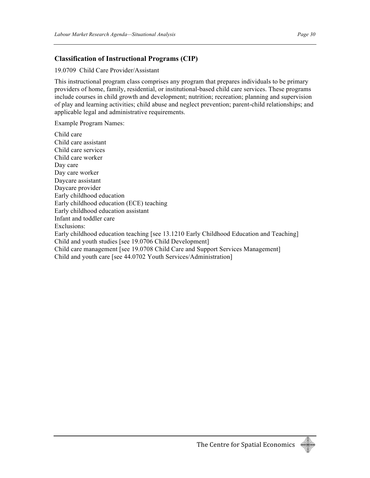#### **Classification of Instructional Programs (CIP)**

19.0709 Child Care Provider/Assistant

This instructional program class comprises any program that prepares individuals to be primary providers of home, family, residential, or institutional-based child care services. These programs include courses in child growth and development; nutrition; recreation; planning and supervision of play and learning activities; child abuse and neglect prevention; parent-child relationships; and applicable legal and administrative requirements.

Example Program Names:

Child care Child care assistant Child care services Child care worker Day care Day care worker Daycare assistant Daycare provider Early childhood education Early childhood education (ECE) teaching Early childhood education assistant Infant and toddler care Exclusions: Early childhood education teaching [see 13.1210 Early Childhood Education and Teaching] Child and youth studies [see 19.0706 Child Development] Child care management [see 19.0708 Child Care and Support Services Management] Child and youth care [see 44.0702 Youth Services/Administration]

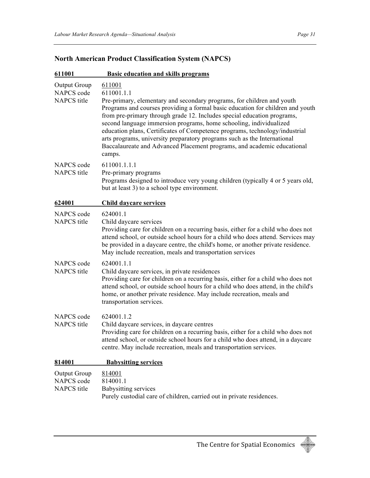| 611001                                           | <b>Basic education and skills programs</b>                                                                                                                                                                                                                                                                                                                                                                                                                                                                                                                                        |
|--------------------------------------------------|-----------------------------------------------------------------------------------------------------------------------------------------------------------------------------------------------------------------------------------------------------------------------------------------------------------------------------------------------------------------------------------------------------------------------------------------------------------------------------------------------------------------------------------------------------------------------------------|
| Output Group<br>NAPCS code<br><b>NAPCS</b> title | 611001<br>611001.1.1<br>Pre-primary, elementary and secondary programs, for children and youth<br>Programs and courses providing a formal basic education for children and youth<br>from pre-primary through grade 12. Includes special education programs,<br>second language immersion programs, home schooling, individualized<br>education plans, Certificates of Competence programs, technology/industrial<br>arts programs, university preparatory programs such as the International<br>Baccalaureate and Advanced Placement programs, and academic educational<br>camps. |
| NAPCS code<br>NAPCS title                        | 611001.1.1.1<br>Pre-primary programs<br>Programs designed to introduce very young children (typically 4 or 5 years old,<br>but at least 3) to a school type environment.                                                                                                                                                                                                                                                                                                                                                                                                          |
| 624001                                           | Child daycare services                                                                                                                                                                                                                                                                                                                                                                                                                                                                                                                                                            |
| NAPCS code<br><b>NAPCS</b> title                 | 624001.1<br>Child daycare services<br>Providing care for children on a recurring basis, either for a child who does not<br>attend school, or outside school hours for a child who does attend. Services may<br>be provided in a daycare centre, the child's home, or another private residence.<br>May include recreation, meals and transportation services                                                                                                                                                                                                                      |
| NAPCS code<br><b>NAPCS</b> title                 | 624001.1.1<br>Child daycare services, in private residences<br>Providing care for children on a recurring basis, either for a child who does not<br>attend school, or outside school hours for a child who does attend, in the child's<br>home, or another private residence. May include recreation, meals and<br>transportation services.                                                                                                                                                                                                                                       |
| NAPCS code<br><b>NAPCS</b> title                 | 624001.1.2<br>Child daycare services, in daycare centres<br>Providing care for children on a recurring basis, either for a child who does not<br>attend school, or outside school hours for a child who does attend, in a daycare<br>centre. May include recreation, meals and transportation services.                                                                                                                                                                                                                                                                           |
| 814001                                           | <b>Babysitting services</b>                                                                                                                                                                                                                                                                                                                                                                                                                                                                                                                                                       |
| <b>Output Group</b><br>NAPCS code<br>NAPCS title | 814001<br>814001.1<br><b>Babysitting services</b><br>Purely custodial care of children, carried out in private residences.                                                                                                                                                                                                                                                                                                                                                                                                                                                        |

### **North American Product Classification System (NAPCS)**

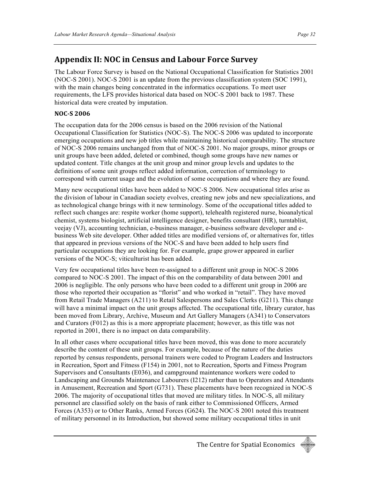### **Appendix
II:
NOC
in
Census
and
Labour
Force
Survey**

The Labour Force Survey is based on the National Occupational Classification for Statistics 2001 (NOC-S 2001). NOC-S 2001 is an update from the previous classification system (SOC 1991), with the main changes being concentrated in the informatics occupations. To meet user requirements, the LFS provides historical data based on NOC-S 2001 back to 1987. These historical data were created by imputation.

#### **NOCS
2006**

The occupation data for the 2006 census is based on the 2006 revision of the National Occupational Classification for Statistics (NOC-S). The NOC-S 2006 was updated to incorporate emerging occupations and new job titles while maintaining historical comparability. The structure of NOC-S 2006 remains unchanged from that of NOC-S 2001. No major groups, minor groups or unit groups have been added, deleted or combined, though some groups have new names or updated content. Title changes at the unit group and minor group levels and updates to the definitions of some unit groups reflect added information, correction of terminology to correspond with current usage and the evolution of some occupations and where they are found.

Many new occupational titles have been added to NOC-S 2006. New occupational titles arise as the division of labour in Canadian society evolves, creating new jobs and new specializations, and as technological change brings with it new terminology. Some of the occupational titles added to reflect such changes are: respite worker (home support), telehealth registered nurse, bioanalytical chemist, systems biologist, artificial intelligence designer, benefits consultant (HR), turntablist, veejay (VJ), accounting technician, e-business manager, e-business software developer and ebusiness Web site developer. Other added titles are modified versions of, or alternatives for, titles that appeared in previous versions of the NOC-S and have been added to help users find particular occupations they are looking for. For example, grape grower appeared in earlier versions of the NOC-S; viticulturist has been added.

Very few occupational titles have been re-assigned to a different unit group in NOC-S 2006 compared to NOC-S 2001. The impact of this on the comparability of data between 2001 and 2006 is negligible. The only persons who have been coded to a different unit group in 2006 are those who reported their occupation as "florist" and who worked in "retail". They have moved from Retail Trade Managers (A211) to Retail Salespersons and Sales Clerks (G211). This change will have a minimal impact on the unit groups affected. The occupational title, library curator, has been moved from Library, Archive, Museum and Art Gallery Managers (A341) to Conservators and Curators (F012) as this is a more appropriate placement; however, as this title was not reported in 2001, there is no impact on data comparability.

In all other cases where occupational titles have been moved, this was done to more accurately describe the content of these unit groups. For example, because of the nature of the duties reported by census respondents, personal trainers were coded to Program Leaders and Instructors in Recreation, Sport and Fitness (F154) in 2001, not to Recreation, Sports and Fitness Program Supervisors and Consultants (E036), and campground maintenance workers were coded to Landscaping and Grounds Maintenance Labourers (I212) rather than to Operators and Attendants in Amusement, Recreation and Sport (G731). These placements have been recognized in NOC-S 2006. The majority of occupational titles that moved are military titles. In NOC-S, all military personnel are classified solely on the basis of rank either to Commissioned Officers, Armed Forces (A353) or to Other Ranks, Armed Forces (G624). The NOC-S 2001 noted this treatment of military personnel in its Introduction, but showed some military occupational titles in unit

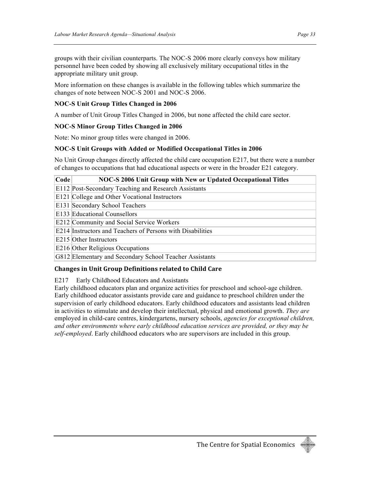groups with their civilian counterparts. The NOC-S 2006 more clearly conveys how military personnel have been coded by showing all exclusively military occupational titles in the appropriate military unit group.

More information on these changes is available in the following tables which summarize the changes of note between NOC-S 2001 and NOC-S 2006.

#### **NOC-S Unit Group Titles Changed in 2006**

A number of Unit Group Titles Changed in 2006, but none affected the child care sector.

#### **NOC-S Minor Group Titles Changed in 2006**

Note: No minor group titles were changed in 2006.

#### **NOC-S Unit Groups with Added or Modified Occupational Titles in 2006**

No Unit Group changes directly affected the child care occupation E217, but there were a number of changes to occupations that had educational aspects or were in the broader E21 category.

#### **Code NOC-S 2006 Unit Group with New or Updated Occupational Titles**

E112 Post-Secondary Teaching and Research Assistants

E121 College and Other Vocational Instructors

E131 Secondary School Teachers

E133 Educational Counsellors

E212 Community and Social Service Workers

E214 Instructors and Teachers of Persons with Disabilities

E215 Other Instructors

E216 Other Religious Occupations

G812 Elementary and Secondary School Teacher Assistants

#### **Changes
in
Unit
Group
Definitions
related
to
Child
Care**

E217 Early Childhood Educators and Assistants

Early childhood educators plan and organize activities for preschool and school-age children. Early childhood educator assistants provide care and guidance to preschool children under the supervision of early childhood educators. Early childhood educators and assistants lead children in activities to stimulate and develop their intellectual, physical and emotional growth. *They are* employed in child-care centres, kindergartens, nursery schools, *agencies for exceptional children, and other environments where early childhood education services are provided, or they may be self-employed*. Early childhood educators who are supervisors are included in this group.

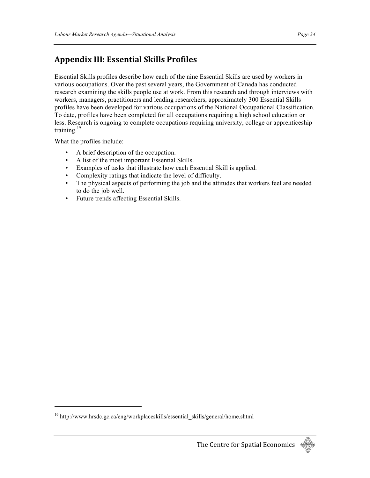### **Appendix
III:
Essential
Skills
Profiles**

Essential Skills profiles describe how each of the nine Essential Skills are used by workers in various occupations. Over the past several years, the Government of Canada has conducted research examining the skills people use at work. From this research and through interviews with workers, managers, practitioners and leading researchers, approximately 300 Essential Skills profiles have been developed for various occupations of the National Occupational Classification. To date, profiles have been completed for all occupations requiring a high school education or less. Research is ongoing to complete occupations requiring university, college or apprenticeship training. $19$ 

What the profiles include:

- A brief description of the occupation.
- A list of the most important Essential Skills.
- Examples of tasks that illustrate how each Essential Skill is applied.
- Complexity ratings that indicate the level of difficulty.
- The physical aspects of performing the job and the attitudes that workers feel are needed to do the job well.
- Future trends affecting Essential Skills.

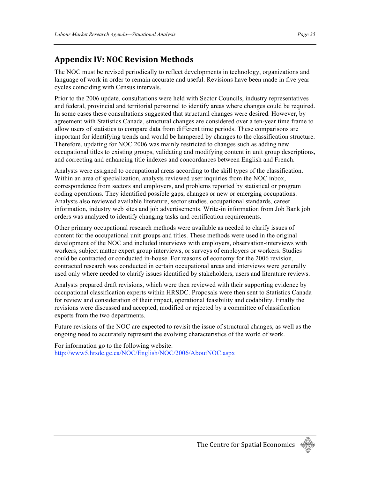### **Appendix
IV:
NOC
Revision
Methods**

The NOC must be revised periodically to reflect developments in technology, organizations and language of work in order to remain accurate and useful. Revisions have been made in five year cycles coinciding with Census intervals.

Prior to the 2006 update, consultations were held with Sector Councils, industry representatives and federal, provincial and territorial personnel to identify areas where changes could be required. In some cases these consultations suggested that structural changes were desired. However, by agreement with Statistics Canada, structural changes are considered over a ten-year time frame to allow users of statistics to compare data from different time periods. These comparisons are important for identifying trends and would be hampered by changes to the classification structure. Therefore, updating for NOC 2006 was mainly restricted to changes such as adding new occupational titles to existing groups, validating and modifying content in unit group descriptions, and correcting and enhancing title indexes and concordances between English and French.

Analysts were assigned to occupational areas according to the skill types of the classification. Within an area of specialization, analysts reviewed user inquiries from the NOC inbox, correspondence from sectors and employers, and problems reported by statistical or program coding operations. They identified possible gaps, changes or new or emerging occupations. Analysts also reviewed available literature, sector studies, occupational standards, career information, industry web sites and job advertisements. Write-in information from Job Bank job orders was analyzed to identify changing tasks and certification requirements.

Other primary occupational research methods were available as needed to clarify issues of content for the occupational unit groups and titles. These methods were used in the original development of the NOC and included interviews with employers, observation-interviews with workers, subject matter expert group interviews, or surveys of employers or workers. Studies could be contracted or conducted in-house. For reasons of economy for the 2006 revision, contracted research was conducted in certain occupational areas and interviews were generally used only where needed to clarify issues identified by stakeholders, users and literature reviews.

Analysts prepared draft revisions, which were then reviewed with their supporting evidence by occupational classification experts within HRSDC. Proposals were then sent to Statistics Canada for review and consideration of their impact, operational feasibility and codability. Finally the revisions were discussed and accepted, modified or rejected by a committee of classification experts from the two departments.

Future revisions of the NOC are expected to revisit the issue of structural changes, as well as the ongoing need to accurately represent the evolving characteristics of the world of work.

For information go to the following website. http://www5.hrsdc.gc.ca/NOC/English/NOC/2006/AboutNOC.aspx

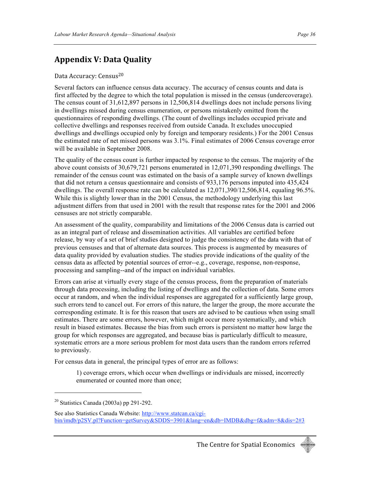### **Appendix
V:
Data
Quality**

#### Data Accuracy: Census<sup>20</sup>

Several factors can influence census data accuracy. The accuracy of census counts and data is first affected by the degree to which the total population is missed in the census (undercoverage). The census count of 31,612,897 persons in 12,506,814 dwellings does not include persons living in dwellings missed during census enumeration, or persons mistakenly omitted from the questionnaires of responding dwellings. (The count of dwellings includes occupied private and collective dwellings and responses received from outside Canada. It excludes unoccupied dwellings and dwellings occupied only by foreign and temporary residents.) For the 2001 Census the estimated rate of net missed persons was 3.1%. Final estimates of 2006 Census coverage error will be available in September 2008.

The quality of the census count is further impacted by response to the census. The majority of the above count consists of 30,679,721 persons enumerated in 12,071,390 responding dwellings. The remainder of the census count was estimated on the basis of a sample survey of known dwellings that did not return a census questionnaire and consists of 933,176 persons imputed into 435,424 dwellings. The overall response rate can be calculated as 12,071,390/12,506,814, equaling 96.5%. While this is slightly lower than in the 2001 Census, the methodology underlying this last adjustment differs from that used in 2001 with the result that response rates for the 2001 and 2006 censuses are not strictly comparable.

An assessment of the quality, comparability and limitations of the 2006 Census data is carried out as an integral part of release and dissemination activities. All variables are certified before release, by way of a set of brief studies designed to judge the consistency of the data with that of previous censuses and that of alternate data sources. This process is augmented by measures of data quality provided by evaluation studies. The studies provide indications of the quality of the census data as affected by potential sources of error--e.g., coverage, response, non-response, processing and sampling--and of the impact on individual variables.

Errors can arise at virtually every stage of the census process, from the preparation of materials through data processing, including the listing of dwellings and the collection of data. Some errors occur at random, and when the individual responses are aggregated for a sufficiently large group, such errors tend to cancel out. For errors of this nature, the larger the group, the more accurate the corresponding estimate. It is for this reason that users are advised to be cautious when using small estimates. There are some errors, however, which might occur more systematically, and which result in biased estimates. Because the bias from such errors is persistent no matter how large the group for which responses are aggregated, and because bias is particularly difficult to measure, systematic errors are a more serious problem for most data users than the random errors referred to previously.

For census data in general, the principal types of error are as follows:

1) coverage errors, which occur when dwellings or individuals are missed, incorrectly enumerated or counted more than once;



<sup>20</sup> Statistics Canada (2003a) pp 291-292.

See also Statistics Canada Website: http://www.statcan.ca/cgibin/imdb/p2SV.pl?Function=getSurvey&SDDS=3901&lang=en&db=IMDB&dbg=f&adm=8&dis=2#3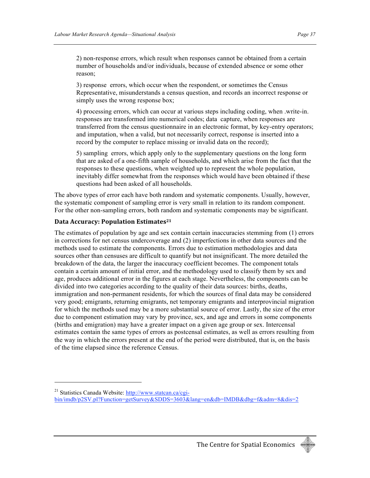2) non-response errors, which result when responses cannot be obtained from a certain number of households and/or individuals, because of extended absence or some other reason;

3) response errors, which occur when the respondent, or sometimes the Census Representative, misunderstands a census question, and records an incorrect response or simply uses the wrong response box;

4) processing errors, which can occur at various steps including coding, when .write-in. responses are transformed into numerical codes; data capture, when responses are transferred from the census questionnaire in an electronic format, by key-entry operators; and imputation, when a valid, but not necessarily correct, response is inserted into a record by the computer to replace missing or invalid data on the record);

5) sampling errors, which apply only to the supplementary questions on the long form that are asked of a one-fifth sample of households, and which arise from the fact that the responses to these questions, when weighted up to represent the whole population, inevitably differ somewhat from the responses which would have been obtained if these questions had been asked of all households.

The above types of error each have both random and systematic components. Usually, however, the systematic component of sampling error is very small in relation to its random component. For the other non-sampling errors, both random and systematic components may be significant.

#### Data Accuracy: Population Estimates<sup>21</sup>

**.** 

The estimates of population by age and sex contain certain inaccuracies stemming from (1) errors in corrections for net census undercoverage and (2) imperfections in other data sources and the methods used to estimate the components. Errors due to estimation methodologies and data sources other than censuses are difficult to quantify but not insignificant. The more detailed the breakdown of the data, the larger the inaccuracy coefficient becomes. The component totals contain a certain amount of initial error, and the methodology used to classify them by sex and age, produces additional error in the figures at each stage. Nevertheless, the components can be divided into two categories according to the quality of their data sources: births, deaths, immigration and non-permanent residents, for which the sources of final data may be considered very good; emigrants, returning emigrants, net temporary emigrants and interprovincial migration for which the methods used may be a more substantial source of error. Lastly, the size of the error due to component estimation may vary by province, sex, and age and errors in some components (births and emigration) may have a greater impact on a given age group or sex. Intercensal estimates contain the same types of errors as postcensal estimates, as well as errors resulting from the way in which the errors present at the end of the period were distributed, that is, on the basis of the time elapsed since the reference Census.



<sup>&</sup>lt;sup>21</sup> Statistics Canada Website: http://www.statcan.ca/cgibin/imdb/p2SV.pl?Function=getSurvey&SDDS=3603&lang=en&db=IMDB&dbg=f&adm=8&dis=2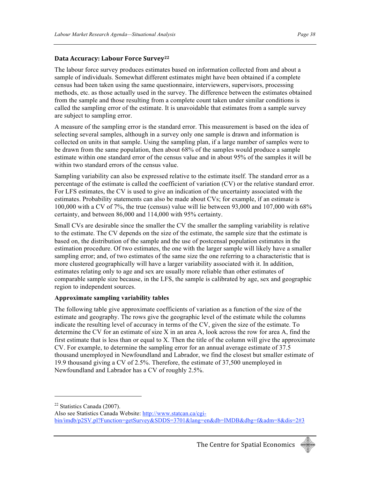#### **Data
Accuracy:
Labour
Force
Survey22**

The labour force survey produces estimates based on information collected from and about a sample of individuals. Somewhat different estimates might have been obtained if a complete census had been taken using the same questionnaire, interviewers, supervisors, processing methods, etc. as those actually used in the survey. The difference between the estimates obtained from the sample and those resulting from a complete count taken under similar conditions is called the sampling error of the estimate. It is unavoidable that estimates from a sample survey are subject to sampling error.

A measure of the sampling error is the standard error. This measurement is based on the idea of selecting several samples, although in a survey only one sample is drawn and information is collected on units in that sample. Using the sampling plan, if a large number of samples were to be drawn from the same population, then about 68% of the samples would produce a sample estimate within one standard error of the census value and in about 95% of the samples it will be within two standard errors of the census value.

Sampling variability can also be expressed relative to the estimate itself. The standard error as a percentage of the estimate is called the coefficient of variation (CV) or the relative standard error. For LFS estimates, the CV is used to give an indication of the uncertainty associated with the estimates. Probability statements can also be made about CVs; for example, if an estimate is 100,000 with a CV of 7%, the true (census) value will lie between 93,000 and 107,000 with 68% certainty, and between 86,000 and 114,000 with 95% certainty.

Small CVs are desirable since the smaller the CV the smaller the sampling variability is relative to the estimate. The CV depends on the size of the estimate, the sample size that the estimate is based on, the distribution of the sample and the use of postcensal population estimates in the estimation procedure. Of two estimates, the one with the larger sample will likely have a smaller sampling error; and, of two estimates of the same size the one referring to a characteristic that is more clustered geographically will have a larger variability associated with it. In addition, estimates relating only to age and sex are usually more reliable than other estimates of comparable sample size because, in the LFS, the sample is calibrated by age, sex and geographic region to independent sources.

#### **Approximate sampling variability tables**

The following table give approximate coefficients of variation as a function of the size of the estimate and geography. The rows give the geographic level of the estimate while the columns indicate the resulting level of accuracy in terms of the CV, given the size of the estimate. To determine the CV for an estimate of size X in an area A, look across the row for area A, find the first estimate that is less than or equal to X. Then the title of the column will give the approximate CV. For example, to determine the sampling error for an annual average estimate of 37.5 thousand unemployed in Newfoundland and Labrador, we find the closest but smaller estimate of 19.9 thousand giving a CV of 2.5%. Therefore, the estimate of 37,500 unemployed in Newfoundland and Labrador has a CV of roughly 2.5%.

 $22$  Statistics Canada (2007).

Also see Statistics Canada Website: http://www.statcan.ca/cgibin/imdb/p2SV.pl?Function=getSurvey&SDDS=3701&lang=en&db=IMDB&dbg=f&adm=8&dis=2#3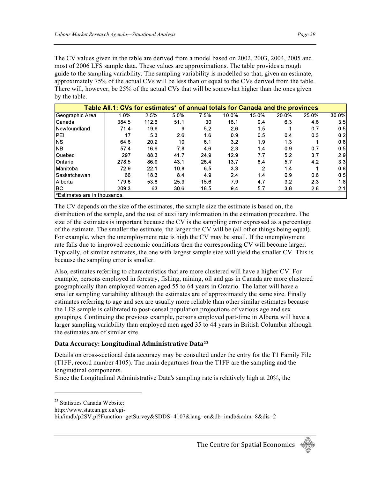The CV values given in the table are derived from a model based on 2002, 2003, 2004, 2005 and most of 2006 LFS sample data. These values are approximations. The table provides a rough guide to the sampling variability. The sampling variability is modelled so that, given an estimate, approximately 75% of the actual CVs will be less than or equal to the CVs derived from the table. There will, however, be 25% of the actual CVs that will be somewhat higher than the ones given by the table.

|                             | Table All.1: CVs for estimates* of annual totals for Canada and the provinces |       |      |      |       |       |       |       |       |
|-----------------------------|-------------------------------------------------------------------------------|-------|------|------|-------|-------|-------|-------|-------|
| Geographic Area             | 1.0%                                                                          | 2.5%  | 5.0% | 7.5% | 10.0% | 15.0% | 20.0% | 25.0% | 30.0% |
| <b>Canada</b>               | 384.5                                                                         | 112.6 | 51.1 | 30   | 16.1  | 9.4   | 63    | 4.6   | 3.5   |
| Newfoundland                | 71.4                                                                          | 19.9  | 9    | 5.2  | 2.6   | 1.5   |       | 0.7   | 0.5   |
| IPEI                        | 17                                                                            | 5.3   | 2.6  | 1.6  | 0.9   | 0.5   | 0.4   | 0.3   | 0.2   |
| INS.                        | 64.6                                                                          | 20.2  | 10   | 6.1  | 3.2   | 1.9   | 1.3   |       | 0.8   |
| <b>NB</b>                   | 57.4                                                                          | 16.6  | 7.8  | 4.6  | 2.3   | 1.4   | 0.9   | 0.7   | 0.5   |
| Quebec                      | 297                                                                           | 88.3  | 41.7 | 24.9 | 12.9  | 7.7   | 5.2   | 3.7   | 2.9   |
| <b>I</b> Ontario            | 278.5                                                                         | 86.9  | 43.1 | 26.4 | 13.7  | 8.4   | 5.7   | 4.2   | 3.3   |
| Manitoba                    | 72.9                                                                          | 22.1  | 10.8 | 6.5  | 3.3   | 2     | 1.4   |       | 0.8   |
| Saskatchewan                | 66                                                                            | 18.3  | 8.4  | 4.9  | 2.4   | 1.4   | 0.9   | 0.6   | 0.5   |
| <b>Alberta</b>              | 179.6                                                                         | 53.6  | 25.9 | 15.6 | 7.9   | 4.7   | 3.2   | 2.3   | 1.8   |
| IBC.                        | 209.3                                                                         | 63    | 30.6 | 18.5 | 9.4   | 5.7   | 3.8   | 2.8   | 2.1   |
| Estimates are in thousands. |                                                                               |       |      |      |       |       |       |       |       |

The CV depends on the size of the estimates, the sample size the estimate is based on, the distribution of the sample, and the use of auxiliary information in the estimation procedure. The size of the estimates is important because the CV is the sampling error expressed as a percentage of the estimate. The smaller the estimate, the larger the CV will be (all other things being equal). For example, when the unemployment rate is high the CV may be small. If the unemployment rate falls due to improved economic conditions then the corresponding CV will become larger. Typically, of similar estimates, the one with largest sample size will yield the smaller CV. This is because the sampling error is smaller.

Also, estimates referring to characteristics that are more clustered will have a higher CV. For example, persons employed in forestry, fishing, mining, oil and gas in Canada are more clustered geographically than employed women aged 55 to 64 years in Ontario. The latter will have a smaller sampling variability although the estimates are of approximately the same size. Finally estimates referring to age and sex are usually more reliable than other similar estimates because the LFS sample is calibrated to post-censal population projections of various age and sex groupings. Continuing the previous example, persons employed part-time in Alberta will have a larger sampling variability than employed men aged 35 to 44 years in British Columbia although the estimates are of similar size.

#### **Data
Accuracy:
Longitudinal
Administrative
Data23**

Details on cross-sectional data accuracy may be consulted under the entry for the T1 Family File (T1FF, record number 4105). The main departures from the T1FF are the sampling and the longitudinal components.

Since the Longitudinal Administrative Data's sampling rate is relatively high at 20%, the



<sup>23</sup> Statistics Canada Website:

http://www.statcan.gc.ca/cgi-

bin/imdb/p2SV.pl?Function=getSurvey&SDDS=4107&lang=en&db=imdb&adm=8&dis=2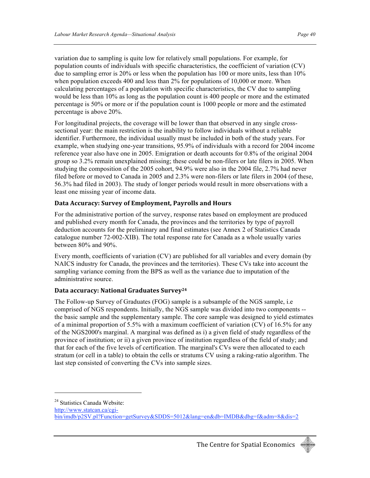variation due to sampling is quite low for relatively small populations. For example, for population counts of individuals with specific characteristics, the coefficient of variation (CV) due to sampling error is 20% or less when the population has 100 or more units, less than 10% when population exceeds 400 and less than 2% for populations of 10,000 or more. When calculating percentages of a population with specific characteristics, the CV due to sampling would be less than 10% as long as the population count is 400 people or more and the estimated percentage is 50% or more or if the population count is 1000 people or more and the estimated percentage is above 20%.

For longitudinal projects, the coverage will be lower than that observed in any single crosssectional year: the main restriction is the inability to follow individuals without a reliable identifier. Furthermore, the individual usually must be included in both of the study years. For example, when studying one-year transitions, 95.9% of individuals with a record for 2004 income reference year also have one in 2005. Emigration or death accounts for 0.8% of the original 2004 group so 3.2% remain unexplained missing; these could be non-filers or late filers in 2005. When studying the composition of the 2005 cohort, 94.9% were also in the 2004 file, 2.7% had never filed before or moved to Canada in 2005 and 2.3% were non-filers or late filers in 2004 (of these, 56.3% had filed in 2003). The study of longer periods would result in more observations with a least one missing year of income data.

#### **Data
Accuracy:
Survey
of
Employment,
Payrolls
and
Hours**

For the administrative portion of the survey, response rates based on employment are produced and published every month for Canada, the provinces and the territories by type of payroll deduction accounts for the preliminary and final estimates (see Annex 2 of Statistics Canada catalogue number 72-002-XIB). The total response rate for Canada as a whole usually varies between 80% and 90%.

Every month, coefficients of variation (CV) are published for all variables and every domain (by NAICS industry for Canada, the provinces and the territories). These CVs take into account the sampling variance coming from the BPS as well as the variance due to imputation of the administrative source.

#### **Data
accuracy:
National
Graduates
Survey24**

The Follow-up Survey of Graduates (FOG) sample is a subsample of the NGS sample, i.e comprised of NGS respondents. Initially, the NGS sample was divided into two components - the basic sample and the supplementary sample. The core sample was designed to yield estimates of a minimal proportion of 5.5% with a maximum coefficient of variation (CV) of 16.5% for any of the NGS2000's marginal. A marginal was defined as i) a given field of study regardless of the province of institution; or ii) a given province of institution regardless of the field of study; and that for each of the five levels of certification. The marginal's CVs were then allocated to each stratum (or cell in a table) to obtain the cells or stratums CV using a raking-ratio algorithm. The last step consisted of converting the CVs into sample sizes.

http://www.statcan.ca/cgi-



<sup>&</sup>lt;sup>24</sup> Statistics Canada Website:

bin/imdb/p2SV.pl?Function=getSurvey&SDDS=5012&lang=en&db=IMDB&dbg=f&adm=8&dis=2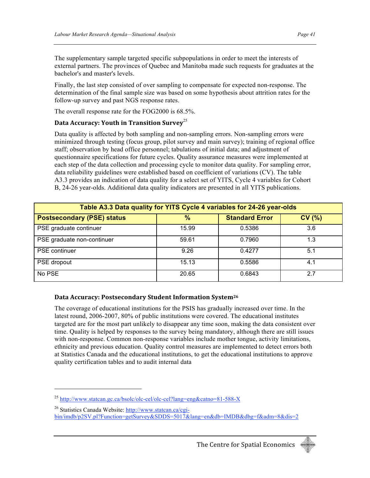The supplementary sample targeted specific subpopulations in order to meet the interests of external partners. The provinces of Quebec and Manitoba made such requests for graduates at the bachelor's and master's levels.

Finally, the last step consisted of over sampling to compensate for expected non-response. The determination of the final sample size was based on some hypothesis about attrition rates for the follow-up survey and past NGS response rates.

The overall response rate for the FOG2000 is 68.5%.

#### Data Accuracy: Youth in Transition Survey<sup>25</sup>

Data quality is affected by both sampling and non-sampling errors. Non-sampling errors were minimized through testing (focus group, pilot survey and main survey); training of regional office staff; observation by head office personnel; tabulations of initial data; and adjustment of questionnaire specifications for future cycles. Quality assurance measures were implemented at each step of the data collection and processing cycle to monitor data quality. For sampling error, data reliability guidelines were established based on coefficient of variations (CV). The table A3.3 provides an indication of data quality for a select set of YITS, Cycle 4 variables for Cohort B, 24-26 year-olds. Additional data quality indicators are presented in all YITS publications.

| Table A3.3 Data quality for YITS Cycle 4 variables for 24-26 year-olds |       |                       |       |  |  |  |
|------------------------------------------------------------------------|-------|-----------------------|-------|--|--|--|
| <b>Postsecondary (PSE) status</b>                                      | $\%$  | <b>Standard Error</b> | CV(%) |  |  |  |
| PSE graduate continuer                                                 | 15.99 | 0.5386                | 3.6   |  |  |  |
| PSE graduate non-continuer                                             | 59.61 | 0.7960                | 1.3   |  |  |  |
| <b>PSE</b> continuer                                                   | 9.26  | 0.4277                | 5.1   |  |  |  |
| PSE dropout                                                            | 15.13 | 0.5586                | 4.1   |  |  |  |
| No PSE                                                                 | 20.65 | 0.6843                | 27    |  |  |  |

#### **Data
Accuracy:
Postsecondary
Student
Information
System26**

The coverage of educational institutions for the PSIS has gradually increased over time. In the latest round, 2006-2007, 80% of public institutions were covered. The educational institutes targeted are for the most part unlikely to disappear any time soon, making the data consistent over time. Quality is helped by responses to the survey being mandatory, although there are still issues with non-response. Common non-response variables include mother tongue, activity limitations, ethnicity and previous education. Quality control measures are implemented to detect errors both at Statistics Canada and the educational institutions, to get the educational institutions to approve quality certification tables and to audit internal data



<sup>25</sup> http://www.statcan.gc.ca/bsolc/olc-cel/olc-cel?lang=eng&catno=81-588-X

<sup>26</sup> Statistics Canada Website: http://www.statcan.ca/cgibin/imdb/p2SV.pl?Function=getSurvey&SDDS=5017&lang=en&db=IMDB&dbg=f&adm=8&dis=2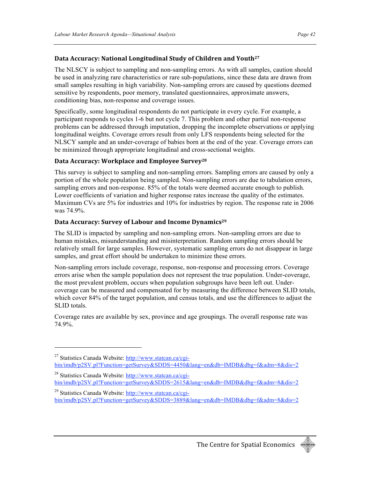#### Data Accuracy: National Longitudinal Study of Children and Youth<sup>27</sup>

The NLSCY is subject to sampling and non-sampling errors. As with all samples, caution should be used in analyzing rare characteristics or rare sub-populations, since these data are drawn from small samples resulting in high variability. Non-sampling errors are caused by questions deemed sensitive by respondents, poor memory, translated questionnaires, approximate answers, conditioning bias, non-response and coverage issues.

Specifically, some longitudinal respondents do not participate in every cycle. For example, a participant responds to cycles 1-6 but not cycle 7. This problem and other partial non-response problems can be addressed through imputation, dropping the incomplete observations or applying longitudinal weights. Coverage errors result from only LFS respondents being selected for the NLSCY sample and an under-coverage of babies born at the end of the year. Coverage errors can be minimized through appropriate longitudinal and cross-sectional weights.

#### **Data
Accuracy:
Workplace
and
Employee
Survey28**

This survey is subject to sampling and non-sampling errors. Sampling errors are caused by only a portion of the whole population being sampled. Non-sampling errors are due to tabulation errors, sampling errors and non-response. 85% of the totals were deemed accurate enough to publish. Lower coefficients of variation and higher response rates increase the quality of the estimates. Maximum CVs are 5% for industries and 10% for industries by region. The response rate in 2006 was 74.9%.

#### Data Accuracy: Survey of Labour and Income Dynamics<sup>29</sup>

<u>.</u>

The SLID is impacted by sampling and non-sampling errors. Non-sampling errors are due to human mistakes, misunderstanding and misinterpretation. Random sampling errors should be relatively small for large samples. However, systematic sampling errors do not disappear in large samples, and great effort should be undertaken to minimize these errors.

Non-sampling errors include coverage, response, non-response and processing errors. Coverage errors arise when the sample population does not represent the true population. Under-coverage, the most prevalent problem, occurs when population subgroups have been left out. Undercoverage can be measured and compensated for by measuring the difference between SLID totals, which cover 84% of the target population, and census totals, and use the differences to adjust the SLID totals.

Coverage rates are available by sex, province and age groupings. The overall response rate was 74.9%.



<sup>&</sup>lt;sup>27</sup> Statistics Canada Website: http://www.statcan.ca/cgibin/imdb/p2SV.pl?Function=getSurvey&SDDS=4450&lang=en&db=IMDB&dbg=f&adm=8&dis=2

<sup>&</sup>lt;sup>28</sup> Statistics Canada Website: http://www.statcan.ca/cgibin/imdb/p2SV.pl?Function=getSurvey&SDDS=2615&lang=en&db=IMDB&dbg=f&adm=8&dis=2

<sup>&</sup>lt;sup>29</sup> Statistics Canada Website: http://www.statcan.ca/cgibin/imdb/p2SV.pl?Function=getSurvey&SDDS=3889&lang=en&db=IMDB&dbg=f&adm=8&dis=2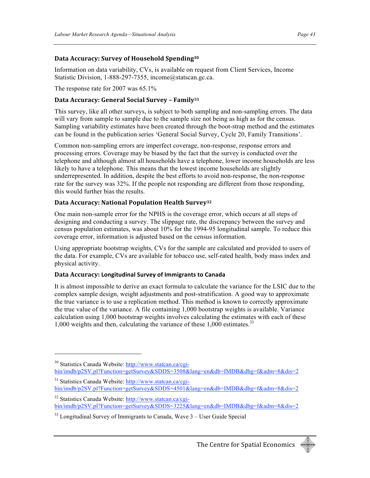#### **Data
Accuracy:
Survey
of
Household
Spending30**

Information on data variability, CVs, is available on request from Client Services, Income Statistic Division, 1-888-297-7355, income@statscan.gc.ca.

The response rate for 2007 was 65.1%

#### Data Accuracy: General Social Survey - Family<sup>31</sup>

This survey, like all other surveys, is subject to both sampling and non-sampling errors. The data will vary from sample to sample due to the sample size not being as high as for the census. Sampling variability estimates have been created through the boot-strap method and the estimates can be found in the publication series 'General Social Survey, Cycle 20, Family Transitions'.

Common non-sampling errors are imperfect coverage, non-response, response errors and processing errors. Coverage may be biased by the fact that the survey is conducted over the telephone and although almost all households have a telephone, lower income households are less likely to have a telephone. This means that the lowest income households are slightly underrepresented. In addition, despite the best efforts to avoid non-response, the non-response rate for the survey was 32%. If the people not responding are different from those responding, this would further bias the results.

#### Data Accuracy: National Population Health Survey<sup>32</sup>

One main non-sample error for the NPHS is the coverage error, which occurs at all steps of designing and conducting a survey. The slippage rate, the discrepancy between the survey and census population estimates, was about 10% for the 1994-95 longitudinal sample. To reduce this coverage error, information is adjusted based on the census information.

Using appropriate bootstrap weights, CVs for the sample are calculated and provided to users of the data. For example, CVs are available for tobacco use, self-rated health, body mass index and physical activity.

#### **Data
Accuracy: Longitudinal
Survey
of
Immigrants
to
Canada**

<u>.</u>

It is almost impossible to derive an exact formula to calculate the variance for the LSIC due to the complex sample design, weight adjustments and post-stratification. A good way to approximate the true variance is to use a replication method. This method is known to correctly approximate the true value of the variance. A file containing 1,000 bootstrap weights is available. Variance calculation using 1,000 bootstrap weights involves calculating the estimates with each of these 1,000 weights and then, calculating the variance of these 1,000 estimates.<sup>33</sup>



<sup>30</sup> Statistics Canada Website: http://www.statcan.ca/cgibin/imdb/p2SV.pl?Function=getSurvey&SDDS=3508&lang=en&db=IMDB&dbg=f&adm=8&dis=2

<sup>&</sup>lt;sup>31</sup> Statistics Canada Website: http://www.statcan.ca/cgibin/imdb/p2SV.pl?Function=getSurvey&SDDS=4501&lang=en&db=IMDB&dbg=f&adm=8&dis=2

<sup>32</sup> Statistics Canada Website: http://www.statcan.ca/cgibin/imdb/p2SV.pl?Function=getSurvey&SDDS=3225&lang=en&db=IMDB&dbg=f&adm=8&dis=2

 $33$  Longitudinal Survey of Immigrants to Canada, Wave  $3$  – User Guide Special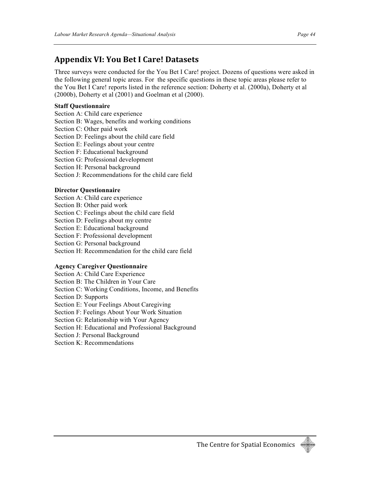### **Appendix
VI:
You
Bet
I
Care!
Datasets**

Three surveys were conducted for the You Bet I Care! project. Dozens of questions were asked in the following general topic areas. For the specific questions in these topic areas please refer to the You Bet I Care! reports listed in the reference section: Doherty et al. (2000a), Doherty et al (2000b), Doherty et al (2001) and Goelman et al (2000).

#### **Staff Questionnaire**

Section A: Child care experience

Section B: Wages, benefits and working conditions

Section C: Other paid work

Section D: Feelings about the child care field

Section E: Feelings about your centre

Section F: Educational background

Section G: Professional development

Section H: Personal background

Section J: Recommendations for the child care field

#### **Director Questionnaire**

Section A: Child care experience

Section B: Other paid work

Section C: Feelings about the child care field

Section D: Feelings about my centre

Section E: Educational background

Section F: Professional development

Section G: Personal background

Section H: Recommendation for the child care field

#### **Agency Caregiver Questionnaire**

Section A: Child Care Experience

Section B: The Children in Your Care

Section C: Working Conditions, Income, and Benefits

Section D: Supports

Section E: Your Feelings About Caregiving

Section F: Feelings About Your Work Situation

Section G: Relationship with Your Agency

Section H: Educational and Professional Background

Section J: Personal Background

Section K: Recommendations